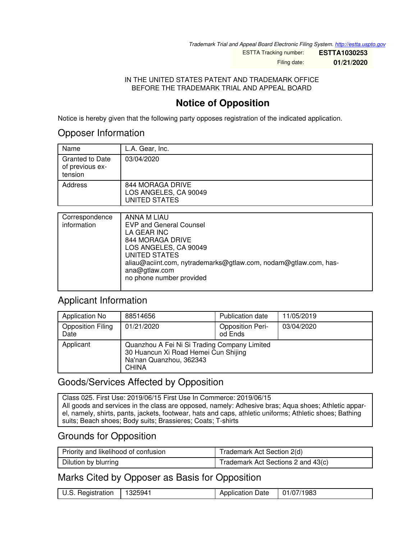*Trademark Trial and Appeal Board Electronic Filing System. <http://estta.uspto.gov>*

ESTTA Tracking number: **ESTTA1030253** Filing date: **01/21/2020**

IN THE UNITED STATES PATENT AND TRADEMARK OFFICE BEFORE THE TRADEMARK TRIAL AND APPEAL BOARD

### **Notice of Opposition**

Notice is hereby given that the following party opposes registration of the indicated application.

### Opposer Information

| Name                                                 | L.A. Gear, Inc.                                            |
|------------------------------------------------------|------------------------------------------------------------|
| <b>Granted to Date</b><br>of previous ex-<br>tension | 03/04/2020                                                 |
| Address                                              | 844 MORAGA DRIVE<br>LOS ANGELES, CA 90049<br>UNITED STATES |

| Correspondence<br>information | ANNA M LIAU<br><b>EVP and General Counsel</b><br>LA GEAR INC<br>844 MORAGA DRIVE<br>LOS ANGELES, CA 90049<br><b>UNITED STATES</b><br>aliau@aciint.com, nytrademarks@gtlaw.com, nodam@gtlaw.com, has-<br>ana@gtlaw.com<br>no phone number provided |
|-------------------------------|---------------------------------------------------------------------------------------------------------------------------------------------------------------------------------------------------------------------------------------------------|
|                               |                                                                                                                                                                                                                                                   |
|                               |                                                                                                                                                                                                                                                   |

### Applicant Information

| <b>Application No</b>            | 88514656                                                                                                                        | Publication date                   | 11/05/2019 |
|----------------------------------|---------------------------------------------------------------------------------------------------------------------------------|------------------------------------|------------|
| <b>Opposition Filing</b><br>Date | 01/21/2020                                                                                                                      | <b>Opposition Peri-</b><br>od Ends | 03/04/2020 |
| Applicant                        | Quanzhou A Fei Ni Si Trading Company Limited<br>30 Huancun Xi Road Hemei Cun Shijing<br>Na'nan Quanzhou, 362343<br><b>CHINA</b> |                                    |            |

### Goods/Services Affected by Opposition

Class 025. First Use: 2019/06/15 First Use In Commerce: 2019/06/15 All goods and services in the class are opposed, namely: Adhesive bras; Aqua shoes; Athletic apparel, namely, shirts, pants, jackets, footwear, hats and caps, athletic uniforms; Athletic shoes; Bathing suits; Beach shoes; Body suits; Brassieres; Coats; T-shirts

### Grounds for Opposition

| Priority and likelihood of confusion | Trademark Act Section 2(d)         |  |
|--------------------------------------|------------------------------------|--|
| Dilution by blurring                 | Trademark Act Sections 2 and 43(c) |  |

### Marks Cited by Opposer as Basis for Opposition

| U.S. Registration | 1325941 | <b>Application Date</b> | 01/07/1983 |
|-------------------|---------|-------------------------|------------|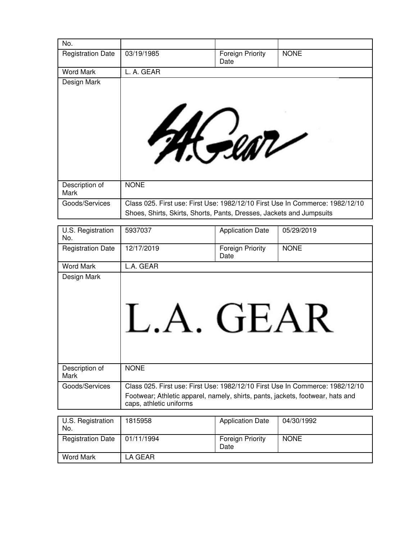| No.                      |                                                                                |                                 |             |
|--------------------------|--------------------------------------------------------------------------------|---------------------------------|-------------|
| <b>Registration Date</b> | 03/19/1985                                                                     | <b>Foreign Priority</b><br>Date | <b>NONE</b> |
| <b>Word Mark</b>         | L. A. GEAR                                                                     |                                 |             |
| Design Mark              |                                                                                |                                 |             |
|                          |                                                                                |                                 |             |
|                          |                                                                                |                                 |             |
|                          |                                                                                |                                 |             |
|                          | M. Sear                                                                        |                                 |             |
|                          |                                                                                |                                 |             |
|                          |                                                                                |                                 |             |
|                          |                                                                                |                                 |             |
|                          |                                                                                |                                 |             |
| Description of           | <b>NONE</b>                                                                    |                                 |             |
| Mark                     |                                                                                |                                 |             |
| Goods/Services           | Class 025. First use: First Use: 1982/12/10 First Use In Commerce: 1982/12/10  |                                 |             |
|                          | Shoes, Shirts, Skirts, Shorts, Pants, Dresses, Jackets and Jumpsuits           |                                 |             |
| U.S. Registration        | 5937037                                                                        | <b>Application Date</b>         | 05/29/2019  |
| No.                      |                                                                                |                                 |             |
| <b>Registration Date</b> | 12/17/2019                                                                     | <b>Foreign Priority</b><br>Date | <b>NONE</b> |
|                          |                                                                                |                                 |             |
| <b>Word Mark</b>         | L.A. GEAR                                                                      |                                 |             |
| Design Mark              |                                                                                |                                 |             |
|                          |                                                                                |                                 |             |
|                          |                                                                                |                                 |             |
|                          |                                                                                |                                 |             |
|                          |                                                                                |                                 |             |
|                          |                                                                                | GEAR                            |             |
|                          |                                                                                |                                 |             |
|                          |                                                                                |                                 |             |
|                          |                                                                                |                                 |             |
| Description of<br>Mark   | <b>NONE</b>                                                                    |                                 |             |
| Goods/Services           | Class 025. First use: First Use: 1982/12/10 First Use In Commerce: 1982/12/10  |                                 |             |
|                          | Footwear; Athletic apparel, namely, shirts, pants, jackets, footwear, hats and |                                 |             |
|                          | caps, athletic uniforms                                                        |                                 |             |
|                          | 1815958                                                                        |                                 | 04/30/1992  |
| U.S. Registration<br>No. |                                                                                | <b>Application Date</b>         |             |

Word Mark LA GEAR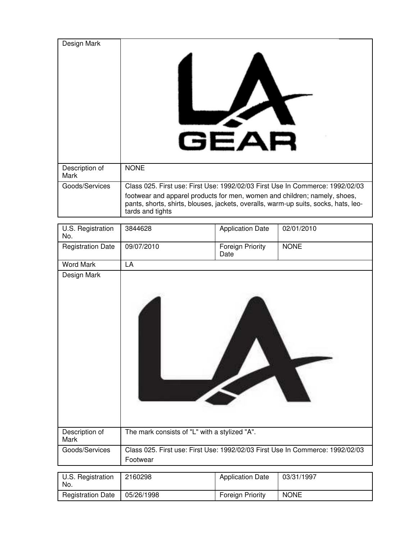| Design Mark            | $\boldsymbol{\nu}$<br>GEAR                                                                                                                                                           |
|------------------------|--------------------------------------------------------------------------------------------------------------------------------------------------------------------------------------|
| Description of<br>Mark | <b>NONE</b>                                                                                                                                                                          |
| Goods/Services         | Class 025. First use: First Use: 1992/02/03 First Use In Commerce: 1992/02/03                                                                                                        |
|                        | footwear and apparel products for men, women and children; namely, shoes,<br>pants, shorts, shirts, blouses, jackets, overalls, warm-up suits, socks, hats, leo-<br>tards and tights |

| U.S. Registration<br>No. | 3844628                                                                                   | <b>Application Date</b>         | 02/01/2010  |
|--------------------------|-------------------------------------------------------------------------------------------|---------------------------------|-------------|
| <b>Registration Date</b> | 09/07/2010                                                                                | <b>Foreign Priority</b><br>Date | <b>NONE</b> |
| <b>Word Mark</b>         | LA                                                                                        |                                 |             |
| Design Mark              |                                                                                           |                                 |             |
| Description of<br>Mark   | The mark consists of "L" with a stylized "A".                                             |                                 |             |
| Goods/Services           | Class 025. First use: First Use: 1992/02/03 First Use In Commerce: 1992/02/03<br>Footwear |                                 |             |
|                          |                                                                                           |                                 |             |

| U.S. Registration<br>No. | 2160298    | <b>Application Date</b> | 03/31/1997  |
|--------------------------|------------|-------------------------|-------------|
| <b>Registration Date</b> | 05/26/1998 | <b>Foreign Priority</b> | <b>NONE</b> |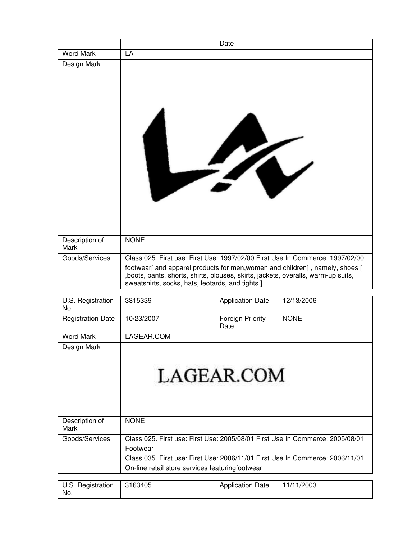|                        | Date                                                                                                                                                                                                                   |
|------------------------|------------------------------------------------------------------------------------------------------------------------------------------------------------------------------------------------------------------------|
| <b>Word Mark</b>       | LA                                                                                                                                                                                                                     |
| Design Mark            | 74                                                                                                                                                                                                                     |
| Description of<br>Mark | <b>NONE</b>                                                                                                                                                                                                            |
| Goods/Services         | Class 025. First use: First Use: 1997/02/00 First Use In Commerce: 1997/02/00                                                                                                                                          |
|                        | footwear[ and apparel products for men, women and children], namely, shoes [<br>, boots, pants, shorts, shirts, blouses, skirts, jackets, overalls, warm-up suits,<br>sweatshirts, socks, hats, leotards, and tights ] |

| U.S. Registration<br>No.                                                                                                                                                                                                                                                                                                                                                                                                                                                                                         | 3315339                                                                                                                                                                                                                       | <b>Application Date</b>                                         | 12/13/2006      |
|------------------------------------------------------------------------------------------------------------------------------------------------------------------------------------------------------------------------------------------------------------------------------------------------------------------------------------------------------------------------------------------------------------------------------------------------------------------------------------------------------------------|-------------------------------------------------------------------------------------------------------------------------------------------------------------------------------------------------------------------------------|-----------------------------------------------------------------|-----------------|
| <b>Registration Date</b>                                                                                                                                                                                                                                                                                                                                                                                                                                                                                         | 10/23/2007                                                                                                                                                                                                                    | Foreign Priority<br>Date                                        | <b>NONE</b>     |
| <b>Word Mark</b>                                                                                                                                                                                                                                                                                                                                                                                                                                                                                                 | LAGEAR.COM                                                                                                                                                                                                                    |                                                                 |                 |
| Design Mark                                                                                                                                                                                                                                                                                                                                                                                                                                                                                                      |                                                                                                                                                                                                                               | LAGEAR.COM                                                      |                 |
| Description of<br>Mark                                                                                                                                                                                                                                                                                                                                                                                                                                                                                           | <b>NONE</b>                                                                                                                                                                                                                   |                                                                 |                 |
| Goods/Services                                                                                                                                                                                                                                                                                                                                                                                                                                                                                                   | Class 025. First use: First Use: 2005/08/01 First Use In Commerce: 2005/08/01<br>Footwear<br>Class 035. First use: First Use: 2006/11/01 First Use In Commerce: 2006/11/01<br>On-line retail store services featuringfootwear |                                                                 |                 |
| $\mathbf{1} \times \mathbf{1} \times \mathbf{1} \times \mathbf{1} \times \mathbf{1} \times \mathbf{1} \times \mathbf{1} \times \mathbf{1} \times \mathbf{1} \times \mathbf{1} \times \mathbf{1} \times \mathbf{1} \times \mathbf{1} \times \mathbf{1} \times \mathbf{1} \times \mathbf{1} \times \mathbf{1} \times \mathbf{1} \times \mathbf{1} \times \mathbf{1} \times \mathbf{1} \times \mathbf{1} \times \mathbf{1} \times \mathbf{1} \times \mathbf{1} \times \mathbf{1} \times \mathbf{1} \times \mathbf{$ | 0.100100                                                                                                                                                                                                                      | $\mathbf{A}$ and $\mathbf{B}$ and $\mathbf{B}$ and $\mathbf{A}$ | <b>ALLAMOOO</b> |

| U.S. Registration   3163405 | <b>Application Date</b> | 11/11/2003 |
|-----------------------------|-------------------------|------------|
| No.                         |                         |            |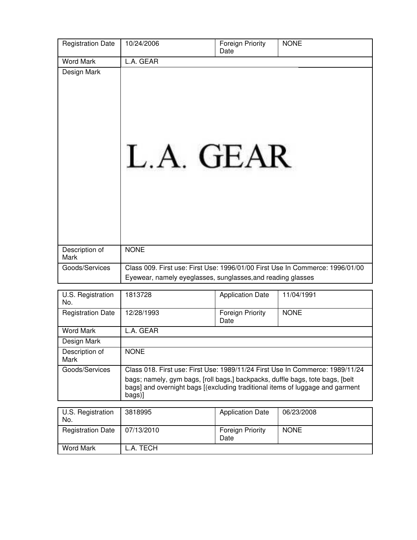| <b>Registration Date</b> | 10/24/2006                                                                    | <b>Foreign Priority</b><br>Date | <b>NONE</b>                                                                   |
|--------------------------|-------------------------------------------------------------------------------|---------------------------------|-------------------------------------------------------------------------------|
| <b>Word Mark</b>         | L.A. GEAR                                                                     |                                 |                                                                               |
| Design Mark              | L.A. GEAR                                                                     |                                 |                                                                               |
| Description of<br>Mark   | <b>NONE</b>                                                                   |                                 |                                                                               |
| Goods/Services           | Eyewear, namely eyeglasses, sunglasses, and reading glasses                   |                                 | Class 009. First use: First Use: 1996/01/00 First Use In Commerce: 1996/01/00 |
|                          |                                                                               |                                 |                                                                               |
| U.S. Registration<br>No. | 1813728                                                                       | <b>Application Date</b>         | 11/04/1991                                                                    |
| <b>Registration Date</b> | 12/28/1993                                                                    | Foreign Priority<br>Date        | <b>NONE</b>                                                                   |
| <b>Word Mark</b>         | L.A. GEAR                                                                     |                                 |                                                                               |
| Design Mark              |                                                                               |                                 |                                                                               |
| Description of<br>Mark   | <b>NONE</b>                                                                   |                                 |                                                                               |
| Goods/Services           | bags; namely, gym bags, [roll bags,] backpacks, duffle bags, tote bags, [belt |                                 | Class 018. First use: First Use: 1989/11/24 First Use In Commerce: 1989/11/24 |

bags] and overnight bags [(excluding traditional items of luggage and garment bags)]

| U.S. Registration<br>No. | 3818995    | <b>Application Date</b>         | 06/23/2008  |
|--------------------------|------------|---------------------------------|-------------|
| <b>Registration Date</b> | 07/13/2010 | <b>Foreign Priority</b><br>Date | <b>NONE</b> |
| Word Mark                | _.A. TECH  |                                 |             |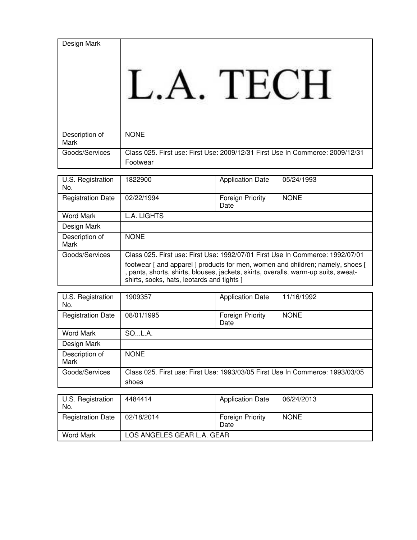| Design Mark              |                                                                                           |                                 |             |
|--------------------------|-------------------------------------------------------------------------------------------|---------------------------------|-------------|
| Description of<br>Mark   | <b>NONE</b>                                                                               |                                 |             |
| Goods/Services           | Class 025. First use: First Use: 2009/12/31 First Use In Commerce: 2009/12/31<br>Footwear |                                 |             |
|                          |                                                                                           |                                 |             |
| U.S. Registration<br>No. | 1822900                                                                                   | <b>Application Date</b>         | 05/24/1993  |
| <b>Registration Date</b> | 02/22/1994                                                                                | <b>Foreign Priority</b><br>Date | <b>NONE</b> |
| <b>Word Mark</b>         | L.A. LIGHTS                                                                               |                                 |             |

| Design Mark                   |                                                                                                                                                                                                                                                                                                     |
|-------------------------------|-----------------------------------------------------------------------------------------------------------------------------------------------------------------------------------------------------------------------------------------------------------------------------------------------------|
| Description of<br><b>Mark</b> | <b>NONE</b>                                                                                                                                                                                                                                                                                         |
| Goods/Services                | Class 025. First use: First Use: 1992/07/01 First Use In Commerce: 1992/07/01<br>footwear [ and apparel ] products for men, women and children; namely, shoes [<br>, pants, shorts, shirts, blouses, jackets, skirts, overalls, warm-up suits, sweat-<br>shirts, socks, hats, leotards and tights ] |

| U.S. Registration<br>No. | 909357                                                                        | <b>Application Date</b>         | 11/16/1992  |
|--------------------------|-------------------------------------------------------------------------------|---------------------------------|-------------|
| <b>Registration Date</b> | 08/01/1995                                                                    | <b>Foreign Priority</b><br>Date | <b>NONE</b> |
| Word Mark                | SOL.A.                                                                        |                                 |             |
| Design Mark              |                                                                               |                                 |             |
| Description of<br>Mark   | <b>NONE</b>                                                                   |                                 |             |
| Goods/Services           | Class 025. First use: First Use: 1993/03/05 First Use In Commerce: 1993/03/05 |                                 |             |
|                          | shoes                                                                         |                                 |             |

| U.S. Registration<br>No. | 4484414                    | <b>Application Date</b>         | 06/24/2013  |
|--------------------------|----------------------------|---------------------------------|-------------|
| <b>Registration Date</b> | 02/18/2014                 | <b>Foreign Priority</b><br>Date | <b>NONE</b> |
| Word Mark                | LOS ANGELES GEAR L.A. GEAR |                                 |             |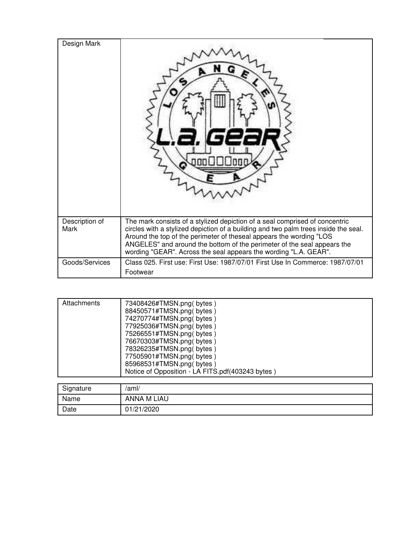| Design Mark            |                                                                                                                                                                                                                                                                                                                                                                                          |
|------------------------|------------------------------------------------------------------------------------------------------------------------------------------------------------------------------------------------------------------------------------------------------------------------------------------------------------------------------------------------------------------------------------------|
| Description of<br>Mark | The mark consists of a stylized depiction of a seal comprised of concentric<br>circles with a stylized depiction of a building and two palm trees inside the seal.<br>Around the top of the perimeter of theseal appears the wording "LOS<br>ANGELES" and around the bottom of the perimeter of the seal appears the<br>wording "GEAR". Across the seal appears the wording "L.A. GEAR". |
| Goods/Services         | Class 025. First use: First Use: 1987/07/01 First Use In Commerce: 1987/07/01<br>Footwear                                                                                                                                                                                                                                                                                                |

| Attachments | 73408426#TMSN.png(bytes)<br>88450571#TMSN.png(bytes)<br>74270774#TMSN.png( bytes )<br>77925036#TMSN.png(bytes)<br>75266551#TMSN.png(bytes)<br>76670303#TMSN.png(bytes)<br>78326235#TMSN.png(bytes)<br>77505901#TMSN.png(bytes)<br>85968531#TMSN.png(bytes)<br>Notice of Opposition - LA FITS.pdf(403243 bytes) |
|-------------|----------------------------------------------------------------------------------------------------------------------------------------------------------------------------------------------------------------------------------------------------------------------------------------------------------------|
|             |                                                                                                                                                                                                                                                                                                                |

| Signature | /aml/              |
|-----------|--------------------|
| Name      | <b>ANNA M LIAU</b> |
| Date      | 01/21/2020         |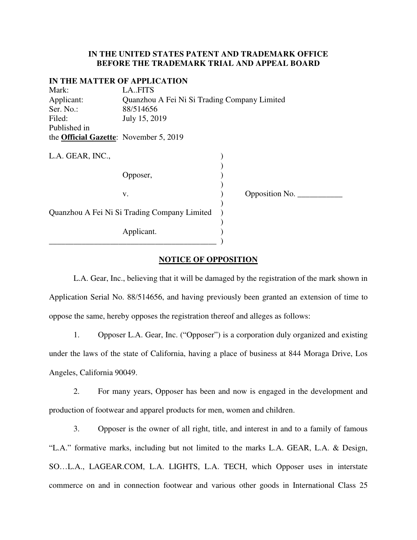#### **IN THE UNITED STATES PATENT AND TRADEMARK OFFICE BEFORE THE TRADEMARK TRIAL AND APPEAL BOARD**

#### **IN THE MATTER OF APPLICATION**

| Mark:                                          | LA.FITS                                      |  |                |  |
|------------------------------------------------|----------------------------------------------|--|----------------|--|
| Applicant:                                     | Quanzhou A Fei Ni Si Trading Company Limited |  |                |  |
| Ser. No.:                                      | 88/514656                                    |  |                |  |
| Filed:                                         | July 15, 2019                                |  |                |  |
| Published in                                   |                                              |  |                |  |
| the <b>Official Gazette</b> : November 5, 2019 |                                              |  |                |  |
|                                                |                                              |  |                |  |
| L.A. GEAR, INC.,                               |                                              |  |                |  |
|                                                |                                              |  |                |  |
|                                                | Opposer,                                     |  |                |  |
|                                                |                                              |  |                |  |
|                                                | V.                                           |  | Opposition No. |  |
|                                                |                                              |  |                |  |
|                                                | Quanzhou A Fei Ni Si Trading Company Limited |  |                |  |
|                                                |                                              |  |                |  |
| Applicant.                                     |                                              |  |                |  |
|                                                |                                              |  |                |  |

#### **NOTICE OF OPPOSITION**

 L.A. Gear, Inc., believing that it will be damaged by the registration of the mark shown in Application Serial No. 88/514656, and having previously been granted an extension of time to oppose the same, hereby opposes the registration thereof and alleges as follows:

1. Opposer L.A. Gear, Inc. ("Opposer") is a corporation duly organized and existing under the laws of the state of California, having a place of business at 844 Moraga Drive, Los Angeles, California 90049.

2. For many years, Opposer has been and now is engaged in the development and production of footwear and apparel products for men, women and children.

3. Opposer is the owner of all right, title, and interest in and to a family of famous "L.A." formative marks, including but not limited to the marks L.A. GEAR, L.A. & Design, SO…L.A., LAGEAR.COM, L.A. LIGHTS, L.A. TECH, which Opposer uses in interstate commerce on and in connection footwear and various other goods in International Class 25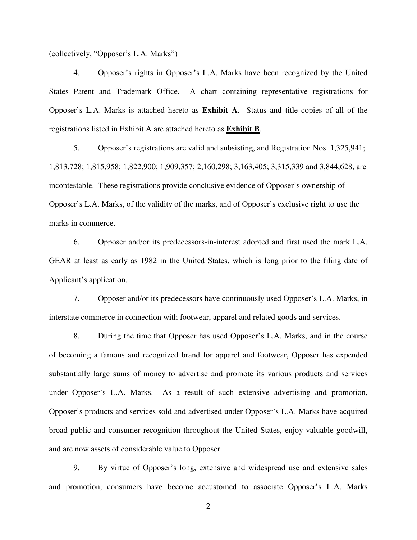(collectively, "Opposer's L.A. Marks")

4. Opposer's rights in Opposer's L.A. Marks have been recognized by the United States Patent and Trademark Office. A chart containing representative registrations for Opposer's L.A. Marks is attached hereto as **Exhibit A**. Status and title copies of all of the registrations listed in Exhibit A are attached hereto as **Exhibit B**.

5. Opposer's registrations are valid and subsisting, and Registration Nos. 1,325,941; 1,813,728; 1,815,958; 1,822,900; 1,909,357; 2,160,298; 3,163,405; 3,315,339 and 3,844,628, are incontestable. These registrations provide conclusive evidence of Opposer's ownership of Opposer's L.A. Marks, of the validity of the marks, and of Opposer's exclusive right to use the marks in commerce.

6. Opposer and/or its predecessors-in-interest adopted and first used the mark L.A. GEAR at least as early as 1982 in the United States, which is long prior to the filing date of Applicant's application.

7. Opposer and/or its predecessors have continuously used Opposer's L.A. Marks, in interstate commerce in connection with footwear, apparel and related goods and services.

8. During the time that Opposer has used Opposer's L.A. Marks, and in the course of becoming a famous and recognized brand for apparel and footwear, Opposer has expended substantially large sums of money to advertise and promote its various products and services under Opposer's L.A. Marks. As a result of such extensive advertising and promotion, Opposer's products and services sold and advertised under Opposer's L.A. Marks have acquired broad public and consumer recognition throughout the United States, enjoy valuable goodwill, and are now assets of considerable value to Opposer.

9. By virtue of Opposer's long, extensive and widespread use and extensive sales and promotion, consumers have become accustomed to associate Opposer's L.A. Marks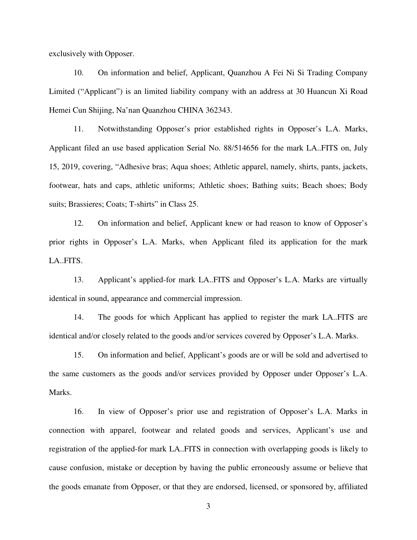exclusively with Opposer.

10. On information and belief, Applicant, Quanzhou A Fei Ni Si Trading Company Limited ("Applicant") is an limited liability company with an address at 30 Huancun Xi Road Hemei Cun Shijing, Na'nan Quanzhou CHINA 362343.

11. Notwithstanding Opposer's prior established rights in Opposer's L.A. Marks, Applicant filed an use based application Serial No. 88/514656 for the mark LA..FITS on, July 15, 2019, covering, "Adhesive bras; Aqua shoes; Athletic apparel, namely, shirts, pants, jackets, footwear, hats and caps, athletic uniforms; Athletic shoes; Bathing suits; Beach shoes; Body suits; Brassieres; Coats; T-shirts" in Class 25.

12. On information and belief, Applicant knew or had reason to know of Opposer's prior rights in Opposer's L.A. Marks, when Applicant filed its application for the mark LA..FITS.

13. Applicant's applied-for mark LA..FITS and Opposer's L.A. Marks are virtually identical in sound, appearance and commercial impression.

14. The goods for which Applicant has applied to register the mark LA..FITS are identical and/or closely related to the goods and/or services covered by Opposer's L.A. Marks.

15. On information and belief, Applicant's goods are or will be sold and advertised to the same customers as the goods and/or services provided by Opposer under Opposer's L.A. Marks.

16. In view of Opposer's prior use and registration of Opposer's L.A. Marks in connection with apparel, footwear and related goods and services, Applicant's use and registration of the applied-for mark LA..FITS in connection with overlapping goods is likely to cause confusion, mistake or deception by having the public erroneously assume or believe that the goods emanate from Opposer, or that they are endorsed, licensed, or sponsored by, affiliated

3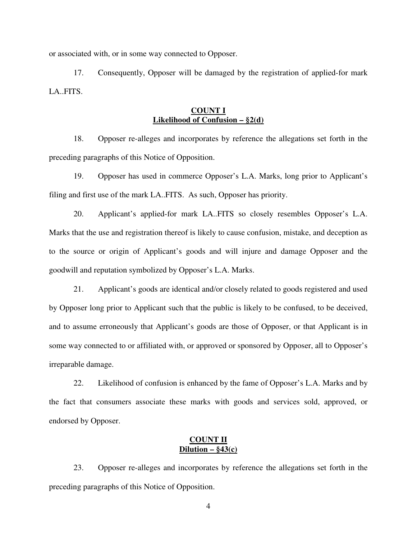or associated with, or in some way connected to Opposer.

17. Consequently, Opposer will be damaged by the registration of applied-for mark LA..FITS.

#### **COUNT I Likelihood of Confusion – §2(d)**

18. Opposer re-alleges and incorporates by reference the allegations set forth in the preceding paragraphs of this Notice of Opposition.

19. Opposer has used in commerce Opposer's L.A. Marks, long prior to Applicant's filing and first use of the mark LA..FITS. As such, Opposer has priority.

20. Applicant's applied-for mark LA..FITS so closely resembles Opposer's L.A. Marks that the use and registration thereof is likely to cause confusion, mistake, and deception as to the source or origin of Applicant's goods and will injure and damage Opposer and the goodwill and reputation symbolized by Opposer's L.A. Marks.

21. Applicant's goods are identical and/or closely related to goods registered and used by Opposer long prior to Applicant such that the public is likely to be confused, to be deceived, and to assume erroneously that Applicant's goods are those of Opposer, or that Applicant is in some way connected to or affiliated with, or approved or sponsored by Opposer, all to Opposer's irreparable damage.

22. Likelihood of confusion is enhanced by the fame of Opposer's L.A. Marks and by the fact that consumers associate these marks with goods and services sold, approved, or endorsed by Opposer.

### **COUNT II Dilution – §43(c)**

23. Opposer re-alleges and incorporates by reference the allegations set forth in the preceding paragraphs of this Notice of Opposition.

4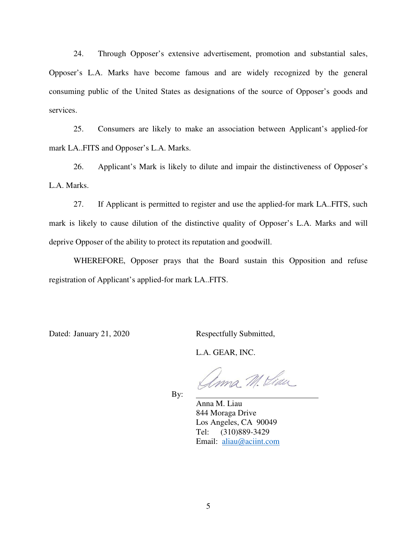24. Through Opposer's extensive advertisement, promotion and substantial sales, Opposer's L.A. Marks have become famous and are widely recognized by the general consuming public of the United States as designations of the source of Opposer's goods and services.

25. Consumers are likely to make an association between Applicant's applied-for mark LA..FITS and Opposer's L.A. Marks.

26. Applicant's Mark is likely to dilute and impair the distinctiveness of Opposer's L.A. Marks.

27. If Applicant is permitted to register and use the applied-for mark LA..FITS, such mark is likely to cause dilution of the distinctive quality of Opposer's L.A. Marks and will deprive Opposer of the ability to protect its reputation and goodwill.

WHEREFORE, Opposer prays that the Board sustain this Opposition and refuse registration of Applicant's applied-for mark LA..FITS.

Dated: January 21, 2020 Respectfully Submitted,

L.A. GEAR, INC.

ma M. Khan

By:

 Anna M. Liau 844 Moraga Drive Los Angeles, CA 90049 Tel: (310)889-3429 Email: [aliau@aciint.com](mailto:aliau@aciint.com)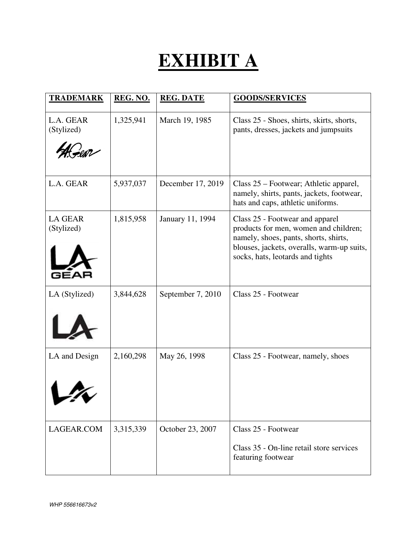# **EXHIBIT A**

| <b>TRADEMARK</b>             | REG. NO.  | <b>REG. DATE</b>  | <b>GOODS/SERVICES</b>                                                                                                                                                                               |
|------------------------------|-----------|-------------------|-----------------------------------------------------------------------------------------------------------------------------------------------------------------------------------------------------|
| L.A. GEAR<br>(Stylized)      | 1,325,941 | March 19, 1985    | Class 25 - Shoes, shirts, skirts, shorts,<br>pants, dresses, jackets and jumpsuits                                                                                                                  |
| L.A. GEAR                    | 5,937,037 | December 17, 2019 | Class 25 – Footwear; Athletic apparel,<br>namely, shirts, pants, jackets, footwear,<br>hats and caps, athletic uniforms.                                                                            |
| <b>LA GEAR</b><br>(Stylized) | 1,815,958 | January 11, 1994  | Class 25 - Footwear and apparel<br>products for men, women and children;<br>namely, shoes, pants, shorts, shirts,<br>blouses, jackets, overalls, warm-up suits,<br>socks, hats, leotards and tights |
| LA (Stylized)                | 3,844,628 | September 7, 2010 | Class 25 - Footwear                                                                                                                                                                                 |
| LA and Design                | 2,160,298 | May 26, 1998      | Class 25 - Footwear, namely, shoes                                                                                                                                                                  |
| LAGEAR.COM                   | 3,315,339 | October 23, 2007  | Class 25 - Footwear<br>Class 35 - On-line retail store services<br>featuring footwear                                                                                                               |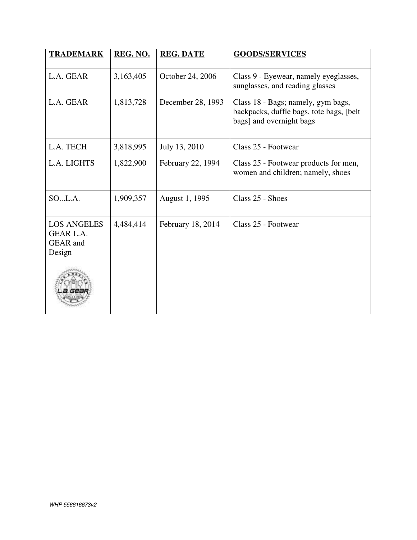| <b>TRADEMARK</b>                                                    | REG. NO.  | <b>REG. DATE</b>  | <b>GOODS/SERVICES</b>                                                                                       |
|---------------------------------------------------------------------|-----------|-------------------|-------------------------------------------------------------------------------------------------------------|
| L.A. GEAR                                                           | 3,163,405 | October 24, 2006  | Class 9 - Eyewear, namely eyeglasses,<br>sunglasses, and reading glasses                                    |
| L.A. GEAR                                                           | 1,813,728 | December 28, 1993 | Class 18 - Bags; namely, gym bags,<br>backpacks, duffle bags, tote bags, [belt]<br>bags] and overnight bags |
| L.A. TECH                                                           | 3,818,995 | July 13, 2010     | Class 25 - Footwear                                                                                         |
| L.A. LIGHTS                                                         | 1,822,900 | February 22, 1994 | Class 25 - Footwear products for men,<br>women and children; namely, shoes                                  |
| SOL.A.                                                              | 1,909,357 | August 1, 1995    | Class 25 - Shoes                                                                                            |
| <b>LOS ANGELES</b><br><b>GEAR L.A.</b><br><b>GEAR</b> and<br>Design | 4,484,414 | February 18, 2014 | Class 25 - Footwear                                                                                         |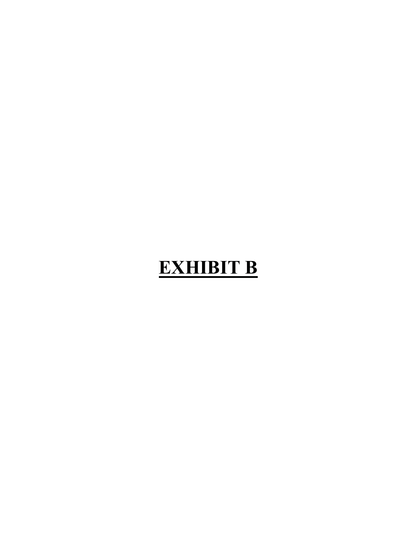# **EXHIBIT B**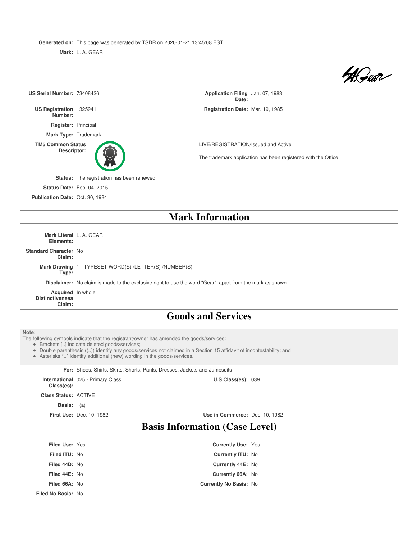**Generated on:** This page was generated by TSDR on 2020-01-21 13:45:08 EST

**Mark:** L. A. GEAR

4 Geor

| US Serial Number: 73408426                            |                                                                                                                                                                                                                                                                                                                                               | Application Filing Jan. 07, 1983<br>Date:                      |  |
|-------------------------------------------------------|-----------------------------------------------------------------------------------------------------------------------------------------------------------------------------------------------------------------------------------------------------------------------------------------------------------------------------------------------|----------------------------------------------------------------|--|
| US Registration 1325941<br>Number:                    |                                                                                                                                                                                                                                                                                                                                               | Registration Date: Mar. 19, 1985                               |  |
| Register: Principal                                   |                                                                                                                                                                                                                                                                                                                                               |                                                                |  |
|                                                       | Mark Type: Trademark                                                                                                                                                                                                                                                                                                                          |                                                                |  |
| <b>TM5 Common Status</b>                              |                                                                                                                                                                                                                                                                                                                                               | LIVE/REGISTRATION/Issued and Active                            |  |
| Descriptor:                                           |                                                                                                                                                                                                                                                                                                                                               | The trademark application has been registered with the Office. |  |
|                                                       | Status: The registration has been renewed.                                                                                                                                                                                                                                                                                                    |                                                                |  |
|                                                       | <b>Status Date: Feb. 04, 2015</b>                                                                                                                                                                                                                                                                                                             |                                                                |  |
| Publication Date: Oct. 30, 1984                       |                                                                                                                                                                                                                                                                                                                                               |                                                                |  |
|                                                       |                                                                                                                                                                                                                                                                                                                                               | <b>Mark Information</b>                                        |  |
| Elements:                                             | Mark Literal L. A. GEAR                                                                                                                                                                                                                                                                                                                       |                                                                |  |
| <b>Standard Character No</b><br>Claim:                |                                                                                                                                                                                                                                                                                                                                               |                                                                |  |
| Type:                                                 | Mark Drawing 1 - TYPESET WORD(S) /LETTER(S) /NUMBER(S)                                                                                                                                                                                                                                                                                        |                                                                |  |
|                                                       | Disclaimer: No claim is made to the exclusive right to use the word "Gear", apart from the mark as shown.                                                                                                                                                                                                                                     |                                                                |  |
| Acquired In whole<br><b>Distinctiveness</b><br>Claim: |                                                                                                                                                                                                                                                                                                                                               |                                                                |  |
|                                                       |                                                                                                                                                                                                                                                                                                                                               | <b>Goods and Services</b>                                      |  |
|                                                       |                                                                                                                                                                                                                                                                                                                                               |                                                                |  |
| Note:                                                 | The following symbols indicate that the registrant/owner has amended the goods/services:<br>· Brackets [] indicate deleted goods/services;<br>• Double parenthesis (()) identify any goods/services not claimed in a Section 15 affidavit of incontestability; and<br>• Asterisks ** identify additional (new) wording in the goods/services. |                                                                |  |
|                                                       | For: Shoes, Shirts, Skirts, Shorts, Pants, Dresses, Jackets and Jumpsuits                                                                                                                                                                                                                                                                     |                                                                |  |
| Class(es):                                            | International 025 - Primary Class                                                                                                                                                                                                                                                                                                             | U.S Class(es): 039                                             |  |
| <b>Class Status: ACTIVE</b>                           |                                                                                                                                                                                                                                                                                                                                               |                                                                |  |
| <b>Basis:</b> $1(a)$                                  |                                                                                                                                                                                                                                                                                                                                               |                                                                |  |
|                                                       | <b>First Use: Dec. 10, 1982</b>                                                                                                                                                                                                                                                                                                               | Use in Commerce: Dec. 10, 1982                                 |  |
| <b>Basis Information (Case Level)</b>                 |                                                                                                                                                                                                                                                                                                                                               |                                                                |  |
| Filed Use: Yes                                        |                                                                                                                                                                                                                                                                                                                                               | Currently Use: Yes                                             |  |
| Filed ITU: No                                         |                                                                                                                                                                                                                                                                                                                                               | Currently ITU: No                                              |  |
| Filed 44D: No                                         |                                                                                                                                                                                                                                                                                                                                               | Currently 44E: No                                              |  |
| Filed 44E: No                                         |                                                                                                                                                                                                                                                                                                                                               | Currently 66A: No                                              |  |
| Filed 66A: No                                         |                                                                                                                                                                                                                                                                                                                                               | Currently No Basis: No                                         |  |
| Filed No Basis: No                                    |                                                                                                                                                                                                                                                                                                                                               |                                                                |  |
|                                                       |                                                                                                                                                                                                                                                                                                                                               |                                                                |  |
|                                                       |                                                                                                                                                                                                                                                                                                                                               |                                                                |  |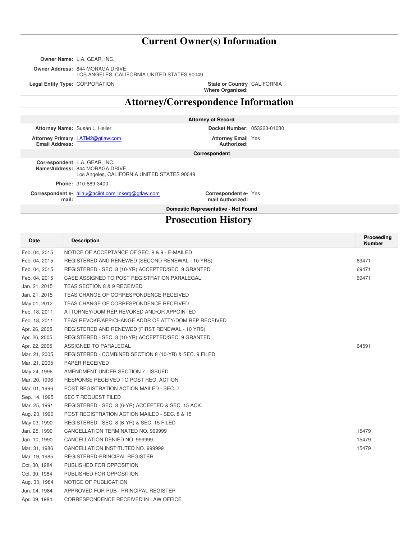### **Current Owner(s) Information**

**Owner Name:** L.A. GEAR, INC.

**Owner Address:** 844 MORAGA DRIVE

LOS ANGELES, CALIFORNIA UNITED STATES 90049

**Legal Entity Type: CORPORATION** 

**Where Organized:** State or Country CALIFORNIA

### **Attorney/Correspondence Information**

|  | Attorney of Record |
|--|--------------------|
|--|--------------------|

**Attorney Name:** Susan L. Heller **Docket Number:** 053223-01030

**Attorney Primary** LATM2@gtlaw.com **Attorney Email Email Address:**

**Authorized:** Attorney Email Yes

**Correspondent**

**Correspondent** L.A. GEAR, INC. **Name/Address:** 844 MORAGA DRIVE Los Angeles, CALIFORNIA UNITED STATES 90049 **Phone:** 310-889-3400

**Correspondent e-** aliau@aciint.com linkerg@gtlaw.com **Correspondent email:**

**mail Authorized:** Correspondent e- Yes

**Domestic Representative - Not Found**

### **Prosecution History**

| Date          | <b>Description</b>                                     | Proceeding<br><b>Number</b> |
|---------------|--------------------------------------------------------|-----------------------------|
| Feb. 04, 2015 | NOTICE OF ACCEPTANCE OF SEC. 8 & 9 - E-MAILED          |                             |
| Feb. 04, 2015 | REGISTERED AND RENEWED (SECOND RENEWAL - 10 YRS)       | 69471                       |
| Feb. 04, 2015 | REGISTERED - SEC. 8 (10-YR) ACCEPTED/SEC. 9 GRANTED    | 69471                       |
| Feb. 04, 2015 | CASE ASSIGNED TO POST REGISTRATION PARALEGAL           | 69471                       |
| Jan. 21, 2015 | TEAS SECTION 8 & 9 RECEIVED                            |                             |
| Jan. 21, 2015 | TEAS CHANGE OF CORRESPONDENCE RECEIVED                 |                             |
| May 01, 2012  | TEAS CHANGE OF CORRESPONDENCE RECEIVED                 |                             |
| Feb. 18, 2011 | ATTORNEY/DOM.REP.REVOKED AND/OR APPOINTED              |                             |
| Feb. 18, 2011 | TEAS REVOKE/APP/CHANGE ADDR OF ATTY/DOM REP RECEIVED   |                             |
| Apr. 26, 2005 | REGISTERED AND RENEWED (FIRST RENEWAL - 10 YRS)        |                             |
| Apr. 26, 2005 | REGISTERED - SEC. 8 (10-YR) ACCEPTED/SEC. 9 GRANTED    |                             |
| Apr. 22, 2005 | ASSIGNED TO PARALEGAL                                  | 64591                       |
| Mar. 21, 2005 | REGISTERED - COMBINED SECTION 8 (10-YR) & SEC. 9 FILED |                             |
| Mar. 21, 2005 | PAPER RECEIVED                                         |                             |
| May 24, 1996  | AMENDMENT UNDER SECTION 7 - ISSUED                     |                             |
| Mar. 20, 1996 | RESPONSE RECEIVED TO POST REG. ACTION                  |                             |
| Mar. 01, 1996 | POST REGISTRATION ACTION MAILED - SEC. 7               |                             |
| Sep. 14, 1995 | <b>SEC 7 REQUEST FILED</b>                             |                             |
| Mar. 25, 1991 | REGISTERED - SEC. 8 (6-YR) ACCEPTED & SEC. 15 ACK.     |                             |
| Aug. 20, 1990 | POST REGISTRATION ACTION MAILED - SEC. 8 & 15          |                             |
| May 03, 1990  | REGISTERED - SEC. 8 (6-YR) & SEC. 15 FILED             |                             |
| Jan. 25, 1990 | CANCELLATION TERMINATED NO. 999999                     | 15479                       |
| Jan. 10, 1990 | CANCELLATION DENIED NO. 999999                         | 15479                       |
| Mar. 31, 1986 | CANCELLATION INSTITUTED NO. 999999                     | 15479                       |
| Mar. 19, 1985 | REGISTERED-PRINCIPAL REGISTER                          |                             |
| Oct. 30, 1984 | PUBLISHED FOR OPPOSITION                               |                             |
| Oct. 30, 1984 | PUBLISHED FOR OPPOSITION                               |                             |
| Aug. 30, 1984 | NOTICE OF PUBLICATION                                  |                             |
| Jun. 04, 1984 | APPROVED FOR PUB - PRINCIPAL REGISTER                  |                             |
| Apr. 09, 1984 | CORRESPONDENCE RECEIVED IN LAW OFFICE                  |                             |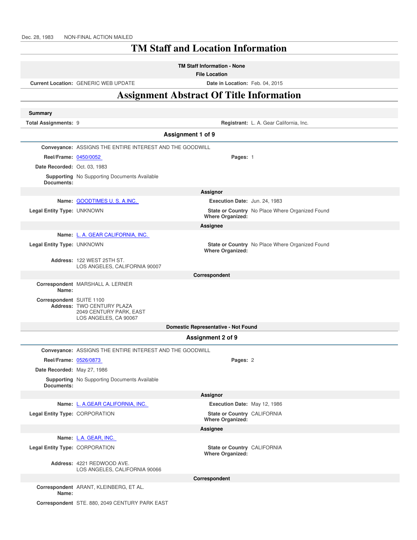### **TM Staff and Location Information**

**File Location**

**Current Location:** GENERIC WEB UPDATE **Date in Location:** Feb. 04, 2015

### **Assignment Abstract Of Title Information**

| <b>Summary</b>                 |                                                                                |                                                        |                                                 |
|--------------------------------|--------------------------------------------------------------------------------|--------------------------------------------------------|-------------------------------------------------|
| Total Assignments: 9           |                                                                                |                                                        | Registrant: L. A. Gear California, Inc.         |
|                                |                                                                                | Assignment 1 of 9                                      |                                                 |
|                                | Conveyance: ASSIGNS THE ENTIRE INTEREST AND THE GOODWILL                       |                                                        |                                                 |
| Reel/Frame: 0450/0052          |                                                                                | Pages: 1                                               |                                                 |
| Date Recorded: Oct. 03, 1983   |                                                                                |                                                        |                                                 |
| Documents:                     | <b>Supporting</b> No Supporting Documents Available                            |                                                        |                                                 |
|                                |                                                                                | Assignor                                               |                                                 |
|                                | Name: GOODTIMES U.S.A.INC.                                                     | Execution Date: Jun. 24, 1983                          |                                                 |
| Legal Entity Type: UNKNOWN     |                                                                                | <b>Where Organized:</b>                                | State or Country No Place Where Organized Found |
|                                |                                                                                | Assignee                                               |                                                 |
|                                | Name: L. A. GEAR CALIFORNIA, INC.                                              |                                                        |                                                 |
| Legal Entity Type: UNKNOWN     |                                                                                | <b>Where Organized:</b>                                | State or Country No Place Where Organized Found |
|                                | Address: 122 WEST 25TH ST.<br>LOS ANGELES, CALIFORNIA 90007                    |                                                        |                                                 |
|                                |                                                                                | Correspondent                                          |                                                 |
| Name:                          | Correspondent MARSHALL A. LERNER                                               |                                                        |                                                 |
| Correspondent SUITE 1100       | Address: TWO CENTURY PLAZA<br>2049 CENTURY PARK, EAST<br>LOS ANGELES, CA 90067 |                                                        |                                                 |
|                                |                                                                                | Domestic Representative - Not Found                    |                                                 |
|                                |                                                                                | Assignment 2 of 9                                      |                                                 |
|                                | <b>Conveyance: ASSIGNS THE ENTIRE INTEREST AND THE GOODWILL</b>                |                                                        |                                                 |
| Reel/Frame: 0526/0873          |                                                                                | Pages: 2                                               |                                                 |
| Date Recorded: May 27, 1986    |                                                                                |                                                        |                                                 |
| Documents:                     | <b>Supporting</b> No Supporting Documents Available                            |                                                        |                                                 |
|                                |                                                                                | Assignor                                               |                                                 |
|                                | Name: L. A.GEAR CALIFORNIA, INC.                                               | Execution Date: May 12, 1986                           |                                                 |
| Legal Entity Type: CORPORATION |                                                                                | State or Country CALIFORNIA<br><b>Where Organized:</b> |                                                 |
| Assignee                       |                                                                                |                                                        |                                                 |
|                                | Name: L.A. GEAR, INC.                                                          |                                                        |                                                 |
| Legal Entity Type: CORPORATION |                                                                                | State or Country CALIFORNIA<br><b>Where Organized:</b> |                                                 |
|                                | Address: 4221 REDWOOD AVE.<br>LOS ANGELES, CALIFORNIA 90066                    |                                                        |                                                 |
|                                |                                                                                | Correspondent                                          |                                                 |
| Name:                          | Correspondent ARANT, KLEINBERG, ET AL.                                         |                                                        |                                                 |
|                                | Correspondent STE. 880, 2049 CENTURY PARK EAST                                 |                                                        |                                                 |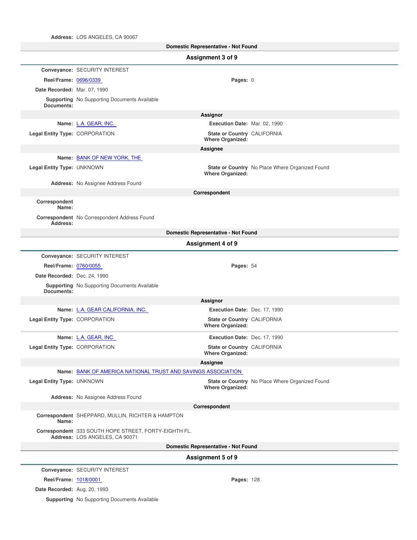**Address:** LOS ANGELES, CA 90067

| Domestic Representative - Not Found |                                                                                         |                                                        |                                                 |  |  |
|-------------------------------------|-----------------------------------------------------------------------------------------|--------------------------------------------------------|-------------------------------------------------|--|--|
|                                     | Assignment 3 of 9                                                                       |                                                        |                                                 |  |  |
|                                     | Conveyance: SECURITY INTEREST                                                           |                                                        |                                                 |  |  |
| Reel/Frame: 0696/0339               |                                                                                         | Pages: 0                                               |                                                 |  |  |
| Date Recorded: Mar. 07, 1990        |                                                                                         |                                                        |                                                 |  |  |
| Documents:                          | <b>Supporting</b> No Supporting Documents Available                                     |                                                        |                                                 |  |  |
|                                     |                                                                                         | Assignor                                               |                                                 |  |  |
|                                     | Name: L.A. GEAR, INC.                                                                   | Execution Date: Mar. 02, 1990                          |                                                 |  |  |
| Legal Entity Type: CORPORATION      |                                                                                         | State or Country CALIFORNIA<br><b>Where Organized:</b> |                                                 |  |  |
|                                     |                                                                                         | Assignee                                               |                                                 |  |  |
|                                     | Name: BANK OF NEW YORK, THE                                                             |                                                        |                                                 |  |  |
| Legal Entity Type: UNKNOWN          |                                                                                         | <b>Where Organized:</b>                                | State or Country No Place Where Organized Found |  |  |
|                                     | Address: No Assignee Address Found                                                      |                                                        |                                                 |  |  |
| Correspondent                       |                                                                                         | Correspondent                                          |                                                 |  |  |
| Name:                               |                                                                                         |                                                        |                                                 |  |  |
| Address:                            | Correspondent No Correspondent Address Found                                            |                                                        |                                                 |  |  |
|                                     |                                                                                         | <b>Domestic Representative - Not Found</b>             |                                                 |  |  |
|                                     |                                                                                         | Assignment 4 of 9                                      |                                                 |  |  |
|                                     | Conveyance: SECURITY INTEREST                                                           |                                                        |                                                 |  |  |
| Reel/Frame: 0760/0055               |                                                                                         | Pages: 54                                              |                                                 |  |  |
| Date Recorded: Dec. 24, 1990        |                                                                                         |                                                        |                                                 |  |  |
| Documents:                          | <b>Supporting</b> No Supporting Documents Available                                     |                                                        |                                                 |  |  |
|                                     |                                                                                         | Assignor                                               |                                                 |  |  |
|                                     | Name: L.A. GEAR CALIFORNIA, INC.                                                        | Execution Date: Dec. 17, 1990                          |                                                 |  |  |
| Legal Entity Type: CORPORATION      |                                                                                         | State or Country CALIFORNIA<br><b>Where Organized:</b> |                                                 |  |  |
|                                     | Name: L.A. GEAR, INC.                                                                   | Execution Date: Dec. 17, 1990                          |                                                 |  |  |
| Legal Entity Type: CORPORATION      |                                                                                         | State or Country CALIFORNIA<br><b>Where Organized:</b> |                                                 |  |  |
|                                     |                                                                                         | Assignee                                               |                                                 |  |  |
|                                     | Name: BANK OF AMERICA NATIONAL TRUST AND SAVINGS ASSOCIATION                            |                                                        |                                                 |  |  |
| Legal Entity Type: UNKNOWN          |                                                                                         | <b>Where Organized:</b>                                | State or Country No Place Where Organized Found |  |  |
|                                     | <b>Address:</b> No Assignee Address Found                                               |                                                        |                                                 |  |  |
| Correspondent                       |                                                                                         |                                                        |                                                 |  |  |
| Name:                               | Correspondent SHEPPARD, MULLIN, RICHTER & HAMPTON                                       |                                                        |                                                 |  |  |
|                                     | Correspondent 333 SOUTH HOPE STREET, FORTY-EIGHTH FL.<br>Address: LOS ANGELES, CA 90071 |                                                        |                                                 |  |  |
|                                     | Domestic Representative - Not Found                                                     |                                                        |                                                 |  |  |
|                                     |                                                                                         | Assignment 5 of 9                                      |                                                 |  |  |
|                                     | Conveyance: SECURITY INTEREST                                                           |                                                        |                                                 |  |  |
| Reel/Frame: 1018/0001               |                                                                                         | Pages: 128                                             |                                                 |  |  |
| Date Recorded: Aug. 20, 1993        |                                                                                         |                                                        |                                                 |  |  |

**Supporting** No Supporting Documents Available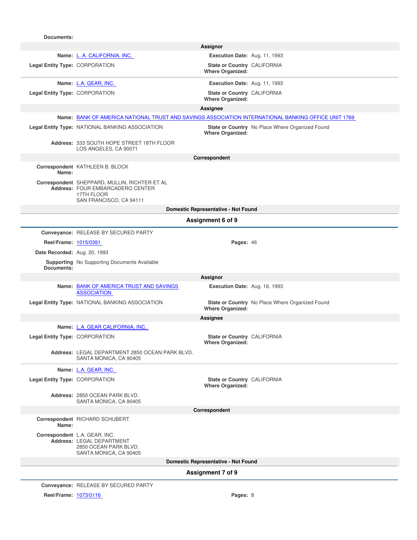| Documents:                            |                                                                                                                            |                                                        |                                                 |  |  |
|---------------------------------------|----------------------------------------------------------------------------------------------------------------------------|--------------------------------------------------------|-------------------------------------------------|--|--|
|                                       |                                                                                                                            | Assignor                                               |                                                 |  |  |
|                                       | Name: L. A. CALIFORNIA, INC.                                                                                               | Execution Date: Aug. 11, 1993                          |                                                 |  |  |
| <b>Legal Entity Type: CORPORATION</b> |                                                                                                                            | State or Country CALIFORNIA<br><b>Where Organized:</b> |                                                 |  |  |
|                                       | Name: L.A. GEAR, INC.                                                                                                      | Execution Date: Aug. 11, 1993                          |                                                 |  |  |
| Legal Entity Type: CORPORATION        |                                                                                                                            | State or Country CALIFORNIA<br><b>Where Organized:</b> |                                                 |  |  |
|                                       |                                                                                                                            | Assignee                                               |                                                 |  |  |
|                                       | Name: BANK OF AMERICA NATIONAL TRUST AND SAVINGS ASSOCIATION INTERNATIONAL BANKING OFFICE UNIT 1769                        |                                                        |                                                 |  |  |
|                                       | Legal Entity Type: NATIONAL BANKING ASSOCIATION                                                                            | <b>Where Organized:</b>                                | State or Country No Place Where Organized Found |  |  |
|                                       | Address: 333 SOUTH HOPE STREET 18TH FLOOR<br>LOS ANGELES, CA 90071                                                         |                                                        |                                                 |  |  |
|                                       |                                                                                                                            | Correspondent                                          |                                                 |  |  |
| Name:                                 | Correspondent KATHLEEN B. BLOCK                                                                                            |                                                        |                                                 |  |  |
|                                       | Correspondent SHEPPARD, MULLIN, RICHTER ET AL<br>Address: FOUR EMBARCADERO CENTER<br>17TH FLOOR<br>SAN FRANCISCO, CA 94111 |                                                        |                                                 |  |  |
|                                       |                                                                                                                            | Domestic Representative - Not Found                    |                                                 |  |  |
|                                       |                                                                                                                            | Assignment 6 of 9                                      |                                                 |  |  |
|                                       | Conveyance: RELEASE BY SECURED PARTY                                                                                       |                                                        |                                                 |  |  |
| Reel/Frame: 1015/0391                 |                                                                                                                            | Pages: 46                                              |                                                 |  |  |
| Date Recorded: Aug. 20, 1993          |                                                                                                                            |                                                        |                                                 |  |  |
| Documents:                            | <b>Supporting</b> No Supporting Documents Available                                                                        |                                                        |                                                 |  |  |
|                                       |                                                                                                                            | Assignor                                               |                                                 |  |  |
|                                       | Name: BANK OF AMERICA TRUST AND SAVINGS<br><b>ASSOCIATION</b>                                                              | Execution Date: Aug. 16, 1993                          |                                                 |  |  |
|                                       | Legal Entity Type: NATIONAL BANKING ASSOCIATION                                                                            | <b>Where Organized:</b>                                | State or Country No Place Where Organized Found |  |  |
|                                       |                                                                                                                            | Assignee                                               |                                                 |  |  |
|                                       | Name: L.A. GEAR CALIFORNIA, INC.                                                                                           |                                                        |                                                 |  |  |
| Legal Entity Type: CORPORATION        |                                                                                                                            | State or Country CALIFORNIA<br><b>Where Organized:</b> |                                                 |  |  |
|                                       | Address: LEGAL DEPARTMENT 2850 OCEAN PARK BLVD.<br>SANTA MONICA, CA 90405                                                  |                                                        |                                                 |  |  |
|                                       | Name: L.A. GEAR, INC.                                                                                                      |                                                        |                                                 |  |  |
| Legal Entity Type: CORPORATION        |                                                                                                                            | State or Country CALIFORNIA<br><b>Where Organized:</b> |                                                 |  |  |
|                                       | Address: 2850 OCEAN PARK BLVD.<br>SANTA MONICA, CA 90405                                                                   |                                                        |                                                 |  |  |
|                                       |                                                                                                                            | Correspondent                                          |                                                 |  |  |
| Name:                                 | Correspondent RICHARD SCHUBERT                                                                                             |                                                        |                                                 |  |  |
|                                       | Correspondent L.A. GEAR, INC.<br>Address: LEGAL DEPARTMENT<br>2850 OCEAN PARK BLVD.<br>SANTA MONICA, CA 90405              |                                                        |                                                 |  |  |
| Domestic Representative - Not Found   |                                                                                                                            |                                                        |                                                 |  |  |
|                                       | Assignment 7 of 9                                                                                                          |                                                        |                                                 |  |  |
|                                       | Conveyance: RELEASE BY SECURED PARTY                                                                                       |                                                        |                                                 |  |  |
| Reel/Frame: 1073/0116                 |                                                                                                                            | Pages: 8                                               |                                                 |  |  |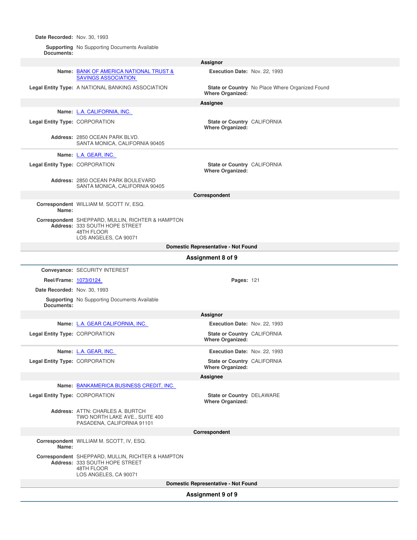**Date Recorded:** Nov. 30, 1993

**Supporting Documents:** No Supporting Documents Available

|                                     |                                                                                                                            | Assignor                                                      |                                                 |  |
|-------------------------------------|----------------------------------------------------------------------------------------------------------------------------|---------------------------------------------------------------|-------------------------------------------------|--|
|                                     | Name: BANK OF AMERICA NATIONAL TRUST &<br><b>SAVINGS ASSOCIATION</b>                                                       | Execution Date: Nov. 22, 1993                                 |                                                 |  |
|                                     | Legal Entity Type: A NATIONAL BANKING ASSOCIATION                                                                          | <b>Where Organized:</b>                                       | State or Country No Place Where Organized Found |  |
|                                     |                                                                                                                            | <b>Assignee</b>                                               |                                                 |  |
|                                     | Name: L.A. CALIFORNIA, INC.                                                                                                |                                                               |                                                 |  |
| Legal Entity Type: CORPORATION      |                                                                                                                            | State or Country CALIFORNIA<br><b>Where Organized:</b>        |                                                 |  |
|                                     | Address: 2850 OCEAN PARK BLVD.<br>SANTA MONICA, CALIFORNIA 90405                                                           |                                                               |                                                 |  |
|                                     | Name: L.A. GEAR, INC.                                                                                                      |                                                               |                                                 |  |
| Legal Entity Type: CORPORATION      |                                                                                                                            | State or Country CALIFORNIA                                   |                                                 |  |
|                                     |                                                                                                                            | <b>Where Organized:</b>                                       |                                                 |  |
|                                     | Address: 2850 OCEAN PARK BOULEVARD<br>SANTA MONICA, CALIFORNIA 90405                                                       |                                                               |                                                 |  |
|                                     |                                                                                                                            | Correspondent                                                 |                                                 |  |
| Name:                               | Correspondent WILLIAM M. SCOTT IV, ESQ.                                                                                    |                                                               |                                                 |  |
|                                     | Correspondent SHEPPARD, MULLIN, RICHTER & HAMPTON<br>Address: 333 SOUTH HOPE STREET<br>48TH FLOOR<br>LOS ANGELES, CA 90071 |                                                               |                                                 |  |
|                                     |                                                                                                                            | Domestic Representative - Not Found                           |                                                 |  |
|                                     |                                                                                                                            | Assignment 8 of 9                                             |                                                 |  |
|                                     | Conveyance: SECURITY INTEREST                                                                                              |                                                               |                                                 |  |
| Reel/Frame: 1073/0124               |                                                                                                                            | <b>Pages: 121</b>                                             |                                                 |  |
| Date Recorded: Nov. 30, 1993        |                                                                                                                            |                                                               |                                                 |  |
| Documents:                          | <b>Supporting</b> No Supporting Documents Available                                                                        |                                                               |                                                 |  |
|                                     |                                                                                                                            | Assignor                                                      |                                                 |  |
|                                     | Name: L.A. GEAR CALIFORNIA, INC.                                                                                           | Execution Date: Nov. 22, 1993                                 |                                                 |  |
| Legal Entity Type: CORPORATION      |                                                                                                                            | State or Country CALIFORNIA<br><b>Where Organized:</b>        |                                                 |  |
|                                     | Name: L.A. GEAR, INC.                                                                                                      | Execution Date: Nov. 22, 1993                                 |                                                 |  |
| Legal Entity Type: CORPORATION      |                                                                                                                            | <b>State or Country CALIFORNIA</b><br><b>Where Organized:</b> |                                                 |  |
|                                     |                                                                                                                            | Assignee                                                      |                                                 |  |
|                                     | Name: BANKAMERICA BUSINESS CREDIT, INC.                                                                                    |                                                               |                                                 |  |
| Legal Entity Type: CORPORATION      |                                                                                                                            | <b>State or Country DELAWARE</b><br><b>Where Organized:</b>   |                                                 |  |
|                                     | Address: ATTN: CHARLES A. BURTCH<br>TWO NORTH LAKE AVE., SUITE 400<br>PASADENA, CALIFORNIA 91101                           |                                                               |                                                 |  |
|                                     |                                                                                                                            | Correspondent                                                 |                                                 |  |
| Name:                               | Correspondent WILLIAM M. SCOTT, IV, ESQ.                                                                                   |                                                               |                                                 |  |
|                                     | Correspondent SHEPPARD, MULLIN, RICHTER & HAMPTON<br>Address: 333 SOUTH HOPE STREET<br>48TH FLOOR<br>LOS ANGELES, CA 90071 |                                                               |                                                 |  |
| Domestic Representative - Not Found |                                                                                                                            |                                                               |                                                 |  |
| Assignment 9 of 9                   |                                                                                                                            |                                                               |                                                 |  |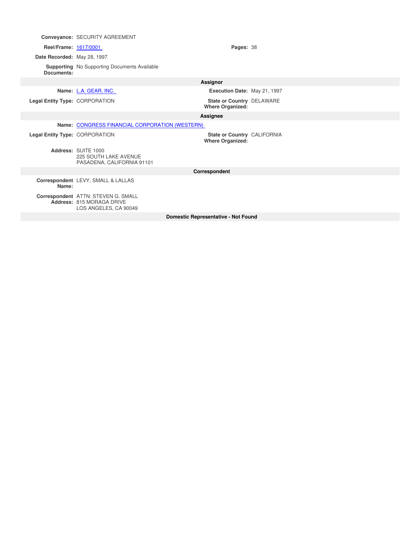|                                | Conveyance: SECURITY AGREEMENT                                                            |                                                        |  |
|--------------------------------|-------------------------------------------------------------------------------------------|--------------------------------------------------------|--|
| Reel/Frame: 1617/0001          |                                                                                           | Pages: 38                                              |  |
| Date Recorded: May 28, 1997    |                                                                                           |                                                        |  |
| Documents:                     | <b>Supporting</b> No Supporting Documents Available                                       |                                                        |  |
|                                |                                                                                           | <b>Assignor</b>                                        |  |
|                                | Name: L.A. GEAR, INC.                                                                     | Execution Date: May 21, 1997                           |  |
| Legal Entity Type: CORPORATION |                                                                                           | State or Country DELAWARE<br><b>Where Organized:</b>   |  |
|                                |                                                                                           | Assignee                                               |  |
|                                | Name: CONGRESS FINANCIAL CORPORATION (WESTERN)                                            |                                                        |  |
| Legal Entity Type: CORPORATION |                                                                                           | State or Country CALIFORNIA<br><b>Where Organized:</b> |  |
|                                | Address: SUITE 1000<br><b>225 SOUTH LAKE AVENUE</b><br>PASADENA, CALIFORNIA 91101         |                                                        |  |
| Correspondent                  |                                                                                           |                                                        |  |
| Name:                          | Correspondent LEVY, SMALL & LALLAS                                                        |                                                        |  |
|                                | Correspondent ATTN: STEVEN G. SMALL<br>Address: 815 MORAGA DRIVE<br>LOS ANGELES, CA 90049 |                                                        |  |
|                                |                                                                                           | <b>Domestic Representative - Not Found</b>             |  |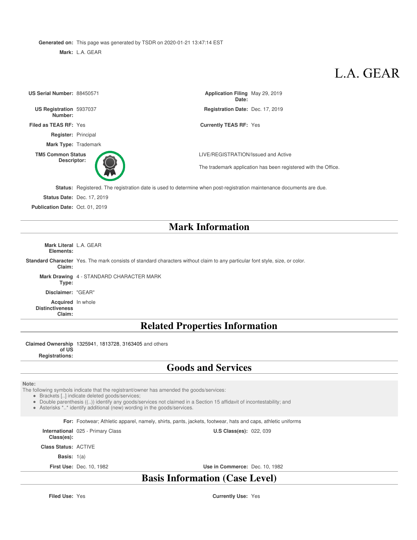**Generated on:** This page was generated by TSDR on 2020-01-21 13:47:14 EST

**Mark:** L.A. GEAR

## L.A. GEAR

| US Serial Number: 88450571         | Application Filing May 29, 2019<br>Date:                                                                             |
|------------------------------------|----------------------------------------------------------------------------------------------------------------------|
| US Registration 5937037<br>Number: | Registration Date: Dec. 17, 2019                                                                                     |
| Filed as TEAS RF: Yes              | <b>Currently TEAS RF: Yes</b>                                                                                        |
| <b>Register: Principal</b>         |                                                                                                                      |
| <b>Mark Type: Trademark</b>        |                                                                                                                      |
| <b>TM5 Common Status</b>           | LIVE/REGISTRATION/Issued and Active                                                                                  |
| Descriptor:                        | The trademark application has been registered with the Office.                                                       |
|                                    | Status: Registered. The registration date is used to determine when post-registration maintenance documents are due. |
| <b>Status Date: Dec. 17, 2019</b>  |                                                                                                                      |

**Publication Date:** Oct. 01, 2019

### **Mark Information**

**Mark Literal** L.A. GEAR **Elements:**

**Standard Character** Yes. The mark consists of standard characters without claim to any particular font style, size, or color. **Claim:**

**Mark Drawing** 4 - STANDARD CHARACTER MARK **Type:**

**Disclaimer:** "GEAR"

**Acquired** In whole **Distinctiveness Claim:**

### **Related Properties Information**

**Claimed Ownership** 1325941, 1813728, 3163405 and others

**of US Registrations:**

### **Goods and Services**

#### **Note:**

The following symbols indicate that the registrant/owner has amended the goods/services:

Brackets [..] indicate deleted goods/services;

Double parenthesis ((..)) identify any goods/services not claimed in a Section 15 affidavit of incontestability; and

Asterisks \*..\* identify additional (new) wording in the goods/services.

**For:** Footwear; Athletic apparel, namely, shirts, pants, jackets, footwear, hats and caps, athletic uniforms

**International** 025 - Primary Class

**Class(es): Class Status:** ACTIVE

**Basis:** 1(a)

**First Use:** Dec. 10, 1982 **Use in Commerce:** Dec. 10, 1982

**U.S Class(es): 022, 039** 

### **Basis Information (Case Level)**

**Filed Use:** Yes **Currently Use:** Yes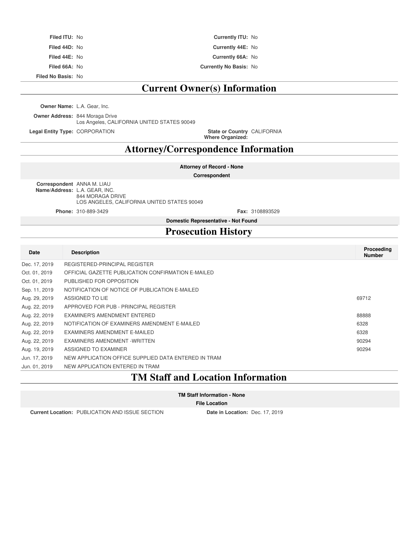| <b>Filed ITU: No</b> | <b>Currently ITU: No</b>      |
|----------------------|-------------------------------|
| Filed 44D: No        | Currently 44E: No             |
| <b>Filed 44E: No</b> | Currently 66A: No             |
| Filed 66A: No        | <b>Currently No Basis: No</b> |

**Filed No Basis:** No

### **Current Owner(s) Information**

**Owner Name:** L.A. Gear, Inc.

**Owner Address:** 844 Moraga Drive Los Angeles, CALIFORNIA UNITED STATES 90049

**Legal Entity Type: CORPORATION** 

**Where Organized:** State or Country CALIFORNIA

### **Attorney/Correspondence Information**

**Attorney of Record - None**

**Correspondent**

**Correspondent** ANNA M. LIAU **Name/Address:** L.A. GEAR, INC. 844 MORAGA DRIVE LOS ANGELES, CALIFORNIA UNITED STATES 90049

**Phone:** 310-889-3429 **Fax:** 3108893529

**Domestic Representative - Not Found**

### **Prosecution History**

| Date          | <b>Description</b>                                   | Proceeding<br><b>Number</b> |
|---------------|------------------------------------------------------|-----------------------------|
| Dec. 17, 2019 | REGISTERED-PRINCIPAL REGISTER                        |                             |
| Oct. 01, 2019 | OFFICIAL GAZETTE PUBLICATION CONFIRMATION E-MAILED   |                             |
| Oct. 01, 2019 | PUBLISHED FOR OPPOSITION                             |                             |
| Sep. 11, 2019 | NOTIFICATION OF NOTICE OF PUBLICATION E-MAILED       |                             |
| Aug. 29, 2019 | ASSIGNED TO LIE                                      | 69712                       |
| Aug. 22, 2019 | APPROVED FOR PUB - PRINCIPAL REGISTER                |                             |
| Aug. 22, 2019 | EXAMINER'S AMENDMENT ENTERED                         | 88888                       |
| Aug. 22, 2019 | NOTIFICATION OF EXAMINERS AMENDMENT E-MAILED         | 6328                        |
| Aug. 22, 2019 | EXAMINERS AMENDMENT E-MAILED                         | 6328                        |
| Aug. 22, 2019 | EXAMINERS AMENDMENT - WRITTEN                        | 90294                       |
| Aug. 19, 2019 | ASSIGNED TO EXAMINER                                 | 90294                       |
| Jun. 17, 2019 | NEW APPLICATION OFFICE SUPPLIED DATA ENTERED IN TRAM |                             |
| Jun. 01, 2019 | NEW APPLICATION ENTERED IN TRAM                      |                             |

### **TM Staff and Location Information**

#### **File Location**

**Current Location:** PUBLICATION AND ISSUE SECTION **Date in Location:** Dec. 17, 2019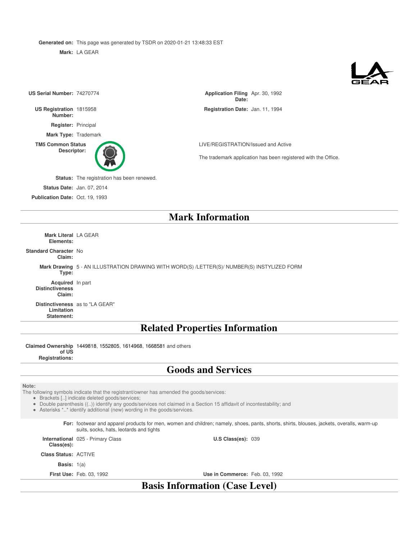**Generated on:** This page was generated by TSDR on 2020-01-21 13:48:33 EST

**Mark:** LA GEAR



| US Serial Number: 74270774                 |                                                                                             | Application Filing Apr. 30, 1992<br>Date:                                                             |
|--------------------------------------------|---------------------------------------------------------------------------------------------|-------------------------------------------------------------------------------------------------------|
| US Registration 1815958<br>Number:         |                                                                                             | Registration Date: Jan. 11, 1994                                                                      |
| Register: Principal                        |                                                                                             |                                                                                                       |
| Mark Type: Trademark                       |                                                                                             |                                                                                                       |
| <b>TM5 Common Status</b><br>Descriptor:    |                                                                                             | LIVE/REGISTRATION/Issued and Active<br>The trademark application has been registered with the Office. |
|                                            | Status: The registration has been renewed.                                                  |                                                                                                       |
|                                            | <b>Status Date: Jan. 07, 2014</b>                                                           |                                                                                                       |
| Publication Date: Oct. 19, 1993            |                                                                                             |                                                                                                       |
|                                            |                                                                                             | <b>Mark Information</b>                                                                               |
| <b>Mark Literal LA GEAR</b><br>Elements:   |                                                                                             |                                                                                                       |
| <b>Standard Character No</b><br>Claim:     |                                                                                             |                                                                                                       |
| Type:                                      | Mark Drawing 5 - AN ILLUSTRATION DRAWING WITH WORD(S) /LETTER(S)/ NUMBER(S) INSTYLIZED FORM |                                                                                                       |
| Acquired In part<br><b>Distinctiveness</b> |                                                                                             |                                                                                                       |

**Claim:**

**Distinctiveness** as to "LA GEAR" **Limitation Statement:**

### **Related Properties Information**

**Claimed Ownership** 1449818, 1552805, 1614968, 1668581 and others

**of US Registrations:**

### **Goods and Services**

**Note:**

The following symbols indicate that the registrant/owner has amended the goods/services:

Brackets [..] indicate deleted goods/services;

Double parenthesis ((..)) identify any goods/services not claimed in a Section 15 affidavit of incontestability; and

Asterisks \*..\* identify additional (new) wording in the goods/services.

**For:** footwear and apparel products for men, women and children; namely, shoes, pants, shorts, shirts, blouses, jackets, overalls, warm-up suits, socks, hats, leotards and tights

**International** 025 - Primary Class

**Class(es):**

**Class Status:** ACTIVE

**Basis:** 1(a)

**First Use:** Feb. 03, 1992 **Use in Commerce:** Feb. 03, 1992

**U.S Class(es): 039** 

**Basis Information (Case Level)**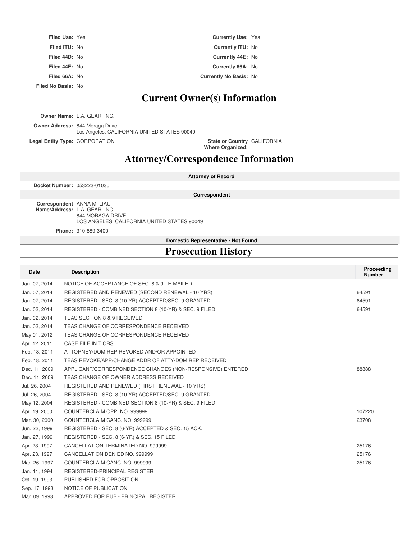| <b>Filed Use: Yes</b> | <b>Currently Use: Yes</b>     |  |
|-----------------------|-------------------------------|--|
| <b>Filed ITU: No</b>  | <b>Currently ITU: No</b>      |  |
| Filed 44D: No         | Currently 44E: No             |  |
| Filed 44E: No         | Currently 66A: No             |  |
| Filed 66A: No         | <b>Currently No Basis: No</b> |  |

**Filed No Basis:** No

### **Current Owner(s) Information**

**Owner Name:** L.A. GEAR, INC.

**Owner Address:** 844 Moraga Drive Los Angeles, CALIFORNIA UNITED STATES 90049

**Legal Entity Type: CORPORATION** 

**Where Organized:** CALIFORNIA

### **Attorney/Correspondence Information**

**Docket Number:** 053223-01030

**Attorney of Record Correspondent**

**Correspondent** ANNA M. LIAU **Name/Address:** L.A. GEAR, INC. 844 MORAGA DRIVE LOS ANGELES, CALIFORNIA UNITED STATES 90049

**Phone:** 310-889-3400

**Domestic Representative - Not Found**

### **Prosecution History**

| <b>Date</b>   | <b>Description</b>                                        | Proceeding<br><b>Number</b> |
|---------------|-----------------------------------------------------------|-----------------------------|
| Jan. 07, 2014 | NOTICE OF ACCEPTANCE OF SEC. 8 & 9 - E-MAILED             |                             |
| Jan. 07, 2014 | REGISTERED AND RENEWED (SECOND RENEWAL - 10 YRS)          | 64591                       |
| Jan. 07, 2014 | REGISTERED - SEC. 8 (10-YR) ACCEPTED/SEC. 9 GRANTED       | 64591                       |
| Jan. 02, 2014 | REGISTERED - COMBINED SECTION 8 (10-YR) & SEC. 9 FILED    | 64591                       |
| Jan. 02, 2014 | TEAS SECTION 8 & 9 RECEIVED                               |                             |
| Jan. 02, 2014 | TEAS CHANGE OF CORRESPONDENCE RECEIVED                    |                             |
| May 01, 2012  | TEAS CHANGE OF CORRESPONDENCE RECEIVED                    |                             |
| Apr. 12, 2011 | <b>CASE FILE IN TICRS</b>                                 |                             |
| Feb. 18, 2011 | ATTORNEY/DOM.REP.REVOKED AND/OR APPOINTED                 |                             |
| Feb. 18, 2011 | TEAS REVOKE/APP/CHANGE ADDR OF ATTY/DOM REP RECEIVED      |                             |
| Dec. 11, 2009 | APPLICANT/CORRESPONDENCE CHANGES (NON-RESPONSIVE) ENTERED | 88888                       |
| Dec. 11, 2009 | TEAS CHANGE OF OWNER ADDRESS RECEIVED                     |                             |
| Jul. 26, 2004 | REGISTERED AND RENEWED (FIRST RENEWAL - 10 YRS)           |                             |
| Jul. 26, 2004 | REGISTERED - SEC. 8 (10-YR) ACCEPTED/SEC. 9 GRANTED       |                             |
| May 12, 2004  | REGISTERED - COMBINED SECTION 8 (10-YR) & SEC. 9 FILED    |                             |
| Apr. 19, 2000 | COUNTERCLAIM OPP. NO. 999999                              | 107220                      |
| Mar. 30, 2000 | COUNTERCLAIM CANC. NO. 999999                             | 23708                       |
| Jun. 22, 1999 | REGISTERED - SEC. 8 (6-YR) ACCEPTED & SEC. 15 ACK.        |                             |
| Jan. 27, 1999 | REGISTERED - SEC. 8 (6-YR) & SEC. 15 FILED                |                             |
| Apr. 23, 1997 | CANCELLATION TERMINATED NO. 999999                        | 25176                       |
| Apr. 23, 1997 | CANCELLATION DENIED NO. 999999                            | 25176                       |
| Mar. 26, 1997 | COUNTERCLAIM CANC. NO. 999999                             | 25176                       |
| Jan. 11, 1994 | REGISTERED-PRINCIPAL REGISTER                             |                             |
| Oct. 19, 1993 | PUBLISHED FOR OPPOSITION                                  |                             |
| Sep. 17, 1993 | NOTICE OF PUBLICATION                                     |                             |
| Mar. 09, 1993 | APPROVED FOR PUB - PRINCIPAL REGISTER                     |                             |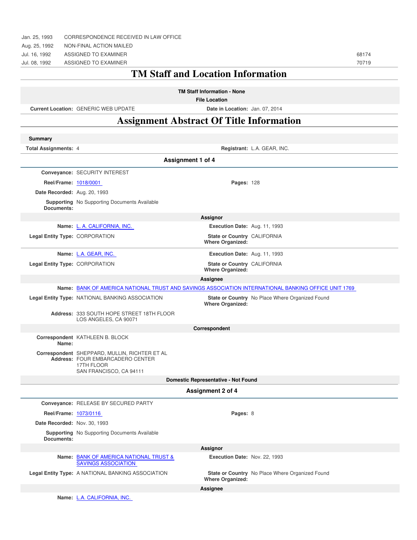| Jan. 25, 1993                  | CORRESPONDENCE RECEIVED IN LAW OFFICE                                                                                      |                                                            |                                                 |       |
|--------------------------------|----------------------------------------------------------------------------------------------------------------------------|------------------------------------------------------------|-------------------------------------------------|-------|
| Aug. 25, 1992                  | NON-FINAL ACTION MAILED                                                                                                    |                                                            |                                                 |       |
| Jul. 16, 1992                  | ASSIGNED TO EXAMINER                                                                                                       |                                                            |                                                 | 68174 |
| Jul. 08, 1992                  | ASSIGNED TO EXAMINER                                                                                                       |                                                            |                                                 | 70719 |
|                                |                                                                                                                            | <b>TM Staff and Location Information</b>                   |                                                 |       |
|                                |                                                                                                                            | <b>TM Staff Information - None</b><br><b>File Location</b> |                                                 |       |
|                                | <b>Current Location: GENERIC WEB UPDATE</b>                                                                                | Date in Location: Jan. 07, 2014                            |                                                 |       |
|                                | <b>Assignment Abstract Of Title Information</b>                                                                            |                                                            |                                                 |       |
|                                |                                                                                                                            |                                                            |                                                 |       |
| Summary                        |                                                                                                                            |                                                            |                                                 |       |
| <b>Total Assignments: 4</b>    |                                                                                                                            |                                                            | Registrant: L.A. GEAR, INC.                     |       |
|                                |                                                                                                                            | <b>Assignment 1 of 4</b>                                   |                                                 |       |
|                                | Conveyance: SECURITY INTEREST                                                                                              |                                                            |                                                 |       |
| Reel/Frame: 1018/0001          |                                                                                                                            | Pages: 128                                                 |                                                 |       |
| Date Recorded: Aug. 20, 1993   |                                                                                                                            |                                                            |                                                 |       |
| Documents:                     | <b>Supporting</b> No Supporting Documents Available                                                                        |                                                            |                                                 |       |
|                                |                                                                                                                            | Assignor                                                   |                                                 |       |
|                                | Name: L. A. CALIFORNIA, INC.                                                                                               | Execution Date: Aug. 11, 1993                              |                                                 |       |
| Legal Entity Type: CORPORATION |                                                                                                                            | State or Country CALIFORNIA<br><b>Where Organized:</b>     |                                                 |       |
|                                | Name: L.A. GEAR, INC.                                                                                                      | Execution Date: Aug. 11, 1993                              |                                                 |       |
| Legal Entity Type: CORPORATION |                                                                                                                            | State or Country CALIFORNIA<br><b>Where Organized:</b>     |                                                 |       |
|                                |                                                                                                                            | <b>Assignee</b>                                            |                                                 |       |
|                                | Name: BANK OF AMERICA NATIONAL TRUST AND SAVINGS ASSOCIATION INTERNATIONAL BANKING OFFICE UNIT 1769                        |                                                            |                                                 |       |
|                                | Legal Entity Type: NATIONAL BANKING ASSOCIATION                                                                            | <b>Where Organized:</b>                                    | State or Country No Place Where Organized Found |       |
|                                | Address: 333 SOUTH HOPE STREET 18TH FLOOR<br>LOS ANGELES, CA 90071                                                         |                                                            |                                                 |       |
|                                |                                                                                                                            | Correspondent                                              |                                                 |       |
| Name:                          | Correspondent KATHLEEN B. BLOCK                                                                                            |                                                            |                                                 |       |
|                                | Correspondent SHEPPARD, MULLIN, RICHTER ET AL<br>Address: FOUR EMBARCADERO CENTER<br>17TH FLOOR<br>SAN FRANCISCO, CA 94111 |                                                            |                                                 |       |
|                                |                                                                                                                            | <b>Domestic Representative - Not Found</b>                 |                                                 |       |
|                                |                                                                                                                            | Assignment 2 of 4                                          |                                                 |       |
|                                | Conveyance: RELEASE BY SECURED PARTY                                                                                       |                                                            |                                                 |       |
| Reel/Frame: 1073/0116          |                                                                                                                            | Pages: 8                                                   |                                                 |       |
| Date Recorded: Nov. 30, 1993   |                                                                                                                            |                                                            |                                                 |       |
| Documents:                     | <b>Supporting</b> No Supporting Documents Available                                                                        |                                                            |                                                 |       |
|                                |                                                                                                                            | Assignor                                                   |                                                 |       |
|                                | Name: BANK OF AMERICA NATIONAL TRUST &<br><b>SAVINGS ASSOCIATION</b>                                                       | Execution Date: Nov. 22, 1993                              |                                                 |       |
|                                | Legal Entity Type: A NATIONAL BANKING ASSOCIATION                                                                          | <b>Where Organized:</b>                                    | State or Country No Place Where Organized Found |       |
|                                |                                                                                                                            | Assignee                                                   |                                                 |       |
|                                | Name: L.A. CALIFORNIA, INC.                                                                                                |                                                            |                                                 |       |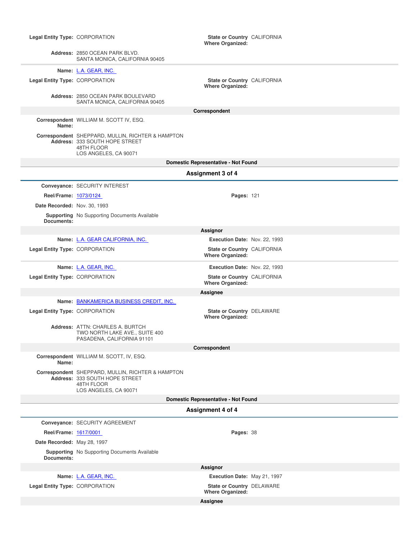| Legal Entity Type: CORPORATION |                                                                                                                            | State or Country CALIFORNIA<br><b>Where Organized:</b> |  |
|--------------------------------|----------------------------------------------------------------------------------------------------------------------------|--------------------------------------------------------|--|
|                                | Address: 2850 OCEAN PARK BLVD.<br>SANTA MONICA, CALIFORNIA 90405                                                           |                                                        |  |
|                                | Name: L.A. GEAR, INC.                                                                                                      |                                                        |  |
| Legal Entity Type: CORPORATION |                                                                                                                            | State or Country CALIFORNIA<br><b>Where Organized:</b> |  |
|                                | Address: 2850 OCEAN PARK BOULEVARD<br>SANTA MONICA, CALIFORNIA 90405                                                       |                                                        |  |
|                                |                                                                                                                            | Correspondent                                          |  |
| Name:                          | Correspondent WILLIAM M. SCOTT IV, ESQ.                                                                                    |                                                        |  |
|                                | Correspondent SHEPPARD, MULLIN, RICHTER & HAMPTON<br>Address: 333 SOUTH HOPE STREET<br>48TH FLOOR<br>LOS ANGELES, CA 90071 |                                                        |  |
|                                |                                                                                                                            | Domestic Representative - Not Found                    |  |
|                                |                                                                                                                            | Assignment 3 of 4                                      |  |
|                                | Conveyance: SECURITY INTEREST                                                                                              |                                                        |  |
| Reel/Frame: 1073/0124          |                                                                                                                            | Pages: 121                                             |  |
| Date Recorded: Nov. 30, 1993   |                                                                                                                            |                                                        |  |
|                                | <b>Supporting</b> No Supporting Documents Available                                                                        |                                                        |  |
| Documents:                     |                                                                                                                            | Assignor                                               |  |
|                                | Name: L.A. GEAR CALIFORNIA, INC.                                                                                           | Execution Date: Nov. 22, 1993                          |  |
| Legal Entity Type: CORPORATION |                                                                                                                            | State or Country CALIFORNIA<br><b>Where Organized:</b> |  |
|                                | Name: L.A. GEAR, INC.                                                                                                      | Execution Date: Nov. 22, 1993                          |  |
| Legal Entity Type: CORPORATION |                                                                                                                            | State or Country CALIFORNIA<br><b>Where Organized:</b> |  |
|                                |                                                                                                                            | Assignee                                               |  |
|                                | Name: BANKAMERICA BUSINESS CREDIT, INC.                                                                                    |                                                        |  |
| Legal Entity Type: CORPORATION |                                                                                                                            | State or Country DELAWARE<br><b>Where Organized:</b>   |  |
|                                | Address: ATTN: CHARLES A. BURTCH<br>TWO NORTH LAKE AVE., SUITE 400<br>PASADENA, CALIFORNIA 91101                           |                                                        |  |
|                                |                                                                                                                            | Correspondent                                          |  |
| Name:                          | Correspondent WILLIAM M. SCOTT, IV, ESQ.                                                                                   |                                                        |  |
|                                | Correspondent SHEPPARD, MULLIN, RICHTER & HAMPTON<br>Address: 333 SOUTH HOPE STREET<br>48TH FLOOR<br>LOS ANGELES, CA 90071 |                                                        |  |
|                                |                                                                                                                            | Domestic Representative - Not Found                    |  |
|                                |                                                                                                                            | Assignment 4 of 4                                      |  |
|                                | Conveyance: SECURITY AGREEMENT                                                                                             |                                                        |  |
| Reel/Frame: 1617/0001          |                                                                                                                            | Pages: 38                                              |  |
| Date Recorded: May 28, 1997    |                                                                                                                            |                                                        |  |
| Documents:                     | <b>Supporting</b> No Supporting Documents Available                                                                        |                                                        |  |
|                                |                                                                                                                            | Assignor                                               |  |
|                                | Name: L.A. GEAR, INC.                                                                                                      | Execution Date: May 21, 1997                           |  |
| Legal Entity Type: CORPORATION |                                                                                                                            | State or Country DELAWARE<br><b>Where Organized:</b>   |  |
|                                |                                                                                                                            | Assignee                                               |  |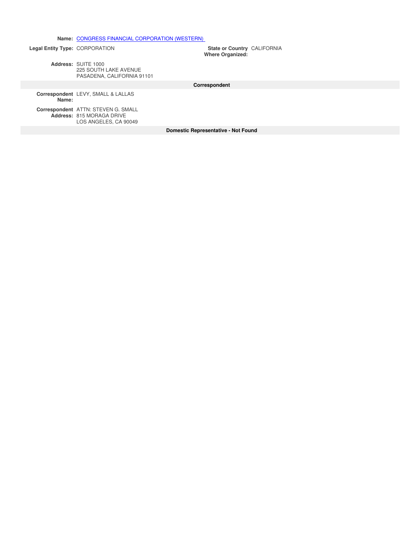**Name:** CONGRESS FINANCIAL CORPORATION (WESTERN)

**Legal Entity Type: CORPORATION** 

**Where Organized:** State or Country CALIFORNIA

**Address:** SUITE 1000 225 SOUTH LAKE AVENUE PASADENA, CALIFORNIA 91101

**Correspondent**

**Correspondent** LEVY, SMALL & LALLAS **Name:**

**Correspondent** ATTN: STEVEN G. SMALL **Address:** 815 MORAGA DRIVE LOS ANGELES, CA 90049

**Domestic Representative - Not Found**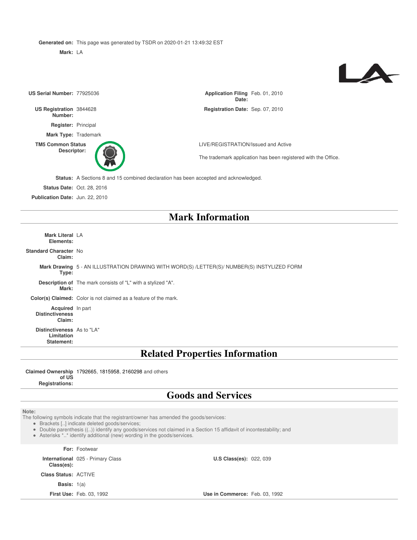**Generated on:** This page was generated by TSDR on 2020-01-21 13:49:32 EST

**Mark:** LA

# $\blacktriangle$

| US Serial Number: 77925036                             |                                                                                             | Application Filing Feb. 01, 2010<br>Date: |                                                                |  |
|--------------------------------------------------------|---------------------------------------------------------------------------------------------|-------------------------------------------|----------------------------------------------------------------|--|
| US Registration 3844628<br>Number:                     |                                                                                             | Registration Date: Sep. 07, 2010          |                                                                |  |
| Register: Principal                                    |                                                                                             |                                           |                                                                |  |
| Mark Type: Trademark                                   |                                                                                             |                                           |                                                                |  |
| <b>TM5 Common Status</b><br>Descriptor:                |                                                                                             | LIVE/REGISTRATION/Issued and Active       | The trademark application has been registered with the Office. |  |
|                                                        | Status: A Sections 8 and 15 combined declaration has been accepted and acknowledged.        |                                           |                                                                |  |
|                                                        | <b>Status Date: Oct. 28, 2016</b>                                                           |                                           |                                                                |  |
| Publication Date: Jun. 22, 2010                        |                                                                                             |                                           |                                                                |  |
|                                                        |                                                                                             | <b>Mark Information</b>                   |                                                                |  |
| Mark Literal LA<br>Elements:                           |                                                                                             |                                           |                                                                |  |
| Standard Character No<br>Claim:                        |                                                                                             |                                           |                                                                |  |
| Type:                                                  | Mark Drawing 5 - AN ILLUSTRATION DRAWING WITH WORD(S) /LETTER(S)/ NUMBER(S) INSTYLIZED FORM |                                           |                                                                |  |
| Mark:                                                  | Description of The mark consists of "L" with a stylized "A".                                |                                           |                                                                |  |
|                                                        | Color(s) Claimed: Color is not claimed as a feature of the mark.                            |                                           |                                                                |  |
| Acquired In part<br><b>Distinctiveness</b><br>Claim:   |                                                                                             |                                           |                                                                |  |
| Distinctiveness As to "LA"<br>Limitation<br>Statement: |                                                                                             |                                           |                                                                |  |
|                                                        | <b>Related Properties Information</b>                                                       |                                           |                                                                |  |
|                                                        |                                                                                             |                                           |                                                                |  |

**Claimed Ownership** 1792665, 1815958, 2160298 and others **of US Registrations:**

### **Goods and Services**

**Note:**

The following symbols indicate that the registrant/owner has amended the goods/services:

Brackets [..] indicate deleted goods/services;

Double parenthesis ((..)) identify any goods/services not claimed in a Section 15 affidavit of incontestability; and

Asterisks \*..\* identify additional (new) wording in the goods/services.

**For:** Footwear **International** 025 - Primary Class **Class(es): U.S Class(es):** 022, 039 **Class Status:** ACTIVE **Basis:** 1(a) **First Use:** Feb. 03, 1992 **Use in Commerce:** Feb. 03, 1992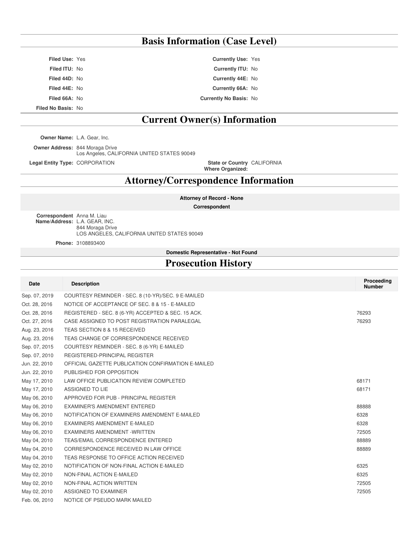### **Basis Information (Case Level)**

**Filed Use:** Yes **Currently Use:** Yes **Filed ITU:** No **Currently ITU:** No **Filed 44D:** No **Currently 44E:** No **Filed 44E:** No **Currently 66A:** No **Filed 66A:** No **Currently No Basis:** No **Filed No Basis:** No

### **Current Owner(s) Information**

**Owner Name:** L.A. Gear, Inc.

**Owner Address:** 844 Moraga Drive Los Angeles, CALIFORNIA UNITED STATES 90049 **Legal Entity Type: CORPORATION** 

**Where Organized:** State or Country CALIFORNIA

**Attorney/Correspondence Information**

**Attorney of Record - None**

**Correspondent**

**Correspondent** Anna M. Liau **Name/Address:** L.A. GEAR, INC. 844 Moraga Drive LOS ANGELES, CALIFORNIA UNITED STATES 90049

**Phone:** 3108893400

**Domestic Representative - Not Found**

### **Prosecution History**

| Date          | <b>Description</b>                                 | Proceeding<br><b>Number</b> |
|---------------|----------------------------------------------------|-----------------------------|
| Sep. 07, 2019 | COURTESY REMINDER - SEC. 8 (10-YR)/SEC. 9 E-MAILED |                             |
| Oct. 28, 2016 | NOTICE OF ACCEPTANCE OF SEC. 8 & 15 - E-MAILED     |                             |
| Oct. 28, 2016 | REGISTERED - SEC. 8 (6-YR) ACCEPTED & SEC. 15 ACK. | 76293                       |
| Oct. 27, 2016 | CASE ASSIGNED TO POST REGISTRATION PARALEGAL       | 76293                       |
| Aug. 23, 2016 | TEAS SECTION 8 & 15 RECEIVED                       |                             |
| Aug. 23, 2016 | TEAS CHANGE OF CORRESPONDENCE RECEIVED             |                             |
| Sep. 07, 2015 | COURTESY REMINDER - SEC. 8 (6-YR) E-MAILED         |                             |
| Sep. 07, 2010 | REGISTERED-PRINCIPAL REGISTER                      |                             |
| Jun. 22, 2010 | OFFICIAL GAZETTE PUBLICATION CONFIRMATION E-MAILED |                             |
| Jun. 22, 2010 | PUBLISHED FOR OPPOSITION                           |                             |
| May 17, 2010  | LAW OFFICE PUBLICATION REVIEW COMPLETED            | 68171                       |
| May 17, 2010  | ASSIGNED TO LIE                                    | 68171                       |
| May 06, 2010  | APPROVED FOR PUB - PRINCIPAL REGISTER              |                             |
| May 06, 2010  | EXAMINER'S AMENDMENT ENTERED                       | 88888                       |
| May 06, 2010  | NOTIFICATION OF EXAMINERS AMENDMENT E-MAILED       | 6328                        |
| May 06, 2010  | EXAMINERS AMENDMENT E-MAILED                       | 6328                        |
| May 06, 2010  | EXAMINERS AMENDMENT - WRITTEN                      | 72505                       |
| May 04, 2010  | TEAS/EMAIL CORRESPONDENCE ENTERED                  | 88889                       |
| May 04, 2010  | CORRESPONDENCE RECEIVED IN LAW OFFICE              | 88889                       |
| May 04, 2010  | TEAS RESPONSE TO OFFICE ACTION RECEIVED            |                             |
| May 02, 2010  | NOTIFICATION OF NON-FINAL ACTION E-MAILED          | 6325                        |
| May 02, 2010  | NON-FINAL ACTION E-MAILED                          | 6325                        |
| May 02, 2010  | NON-FINAL ACTION WRITTEN                           | 72505                       |
| May 02, 2010  | ASSIGNED TO EXAMINER                               | 72505                       |
| Feb. 06, 2010 | NOTICE OF PSEUDO MARK MAILED                       |                             |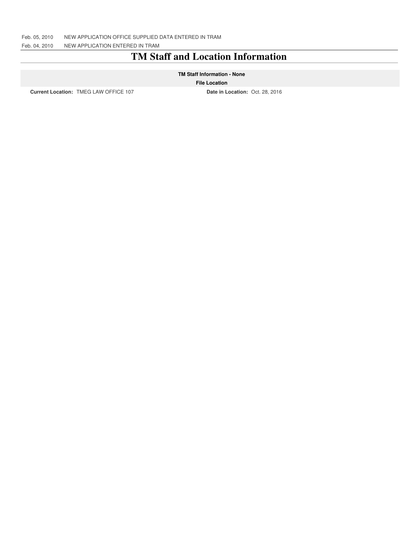### **TM Staff and Location Information**

#### **TM Staff Information - None**

#### **File Location**

**Current Location:** TMEG LAW OFFICE 107 **Date in Location:** Oct. 28, 2016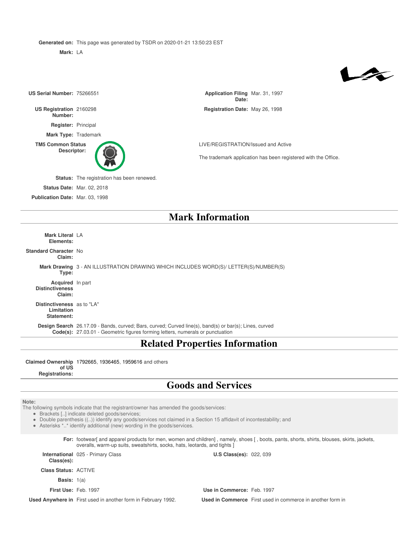**Generated on:** This page was generated by TSDR on 2020-01-21 13:50:23 EST

**Mark:** LA

## $\blacktriangleright$

| US Serial Number: 75266551              |                                            | Application Filing Mar. 31, 1997<br>Date: |                                                                |
|-----------------------------------------|--------------------------------------------|-------------------------------------------|----------------------------------------------------------------|
| US Registration 2160298<br>Number:      |                                            | Registration Date: May 26, 1998           |                                                                |
| Register: Principal                     |                                            |                                           |                                                                |
| Mark Type: Trademark                    |                                            |                                           |                                                                |
| <b>TM5 Common Status</b><br>Descriptor: |                                            | LIVE/REGISTRATION/Issued and Active       | The trademark application has been registered with the Office. |
|                                         | Status: The registration has been renewed. |                                           |                                                                |
|                                         | <b>Status Date: Mar. 02, 2018</b>          |                                           |                                                                |
| Publication Date: Mar. 03, 1998         |                                            |                                           |                                                                |
| <b>Mark Information</b>                 |                                            |                                           |                                                                |

**Mark Literal** LA **Elements:**

**Standard Character** No **Claim:**

> **Mark Drawing** 3 - AN ILLUSTRATION DRAWING WHICH INCLUDES WORD(S)/ LETTER(S)/NUMBER(S) **Type:**

**Acquired** In part **Distinctiveness Claim:**

**Distinctiveness** as to "LA" **Limitation Statement:**

**Design Search** 26.17.09 - Bands, curved; Bars, curved; Curved line(s), band(s) or bar(s); Lines, curved **Code(s):** 27.03.01 - Geometric figures forming letters, numerals or punctuation

### **Related Properties Information**

**Claimed Ownership** 1792665, 1936465, 1959616 and others **of US Registrations:**

### **Goods and Services**

#### **Note:**

The following symbols indicate that the registrant/owner has amended the goods/services:

Brackets [..] indicate deleted goods/services;

Double parenthesis ((..)) identify any goods/services not claimed in a Section 15 affidavit of incontestability; and

Asterisks \*..\* identify additional (new) wording in the goods/services.

**For:** footwear[ and apparel products for men, women and children] , namely, shoes [ , boots, pants, shorts, shirts, blouses, skirts, jackets, overalls, warm-up suits, sweatshirts, socks, hats, leotards, and tights ]

**International** 025 - Primary Class **Class(es):**

**Class Status:** ACTIVE

**Basis:** 1(a)

**First Use:** Feb. 1997 **Use in Commerce:** Feb. 1997

**U.S Class(es): 022, 039** 

**Used Anywhere in** First used in another form in February 1992. **Used in Commerce** First used in commerce in another form in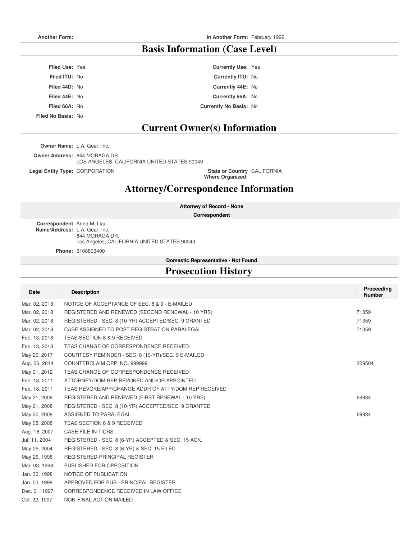### **Basis Information (Case Level)**

| <b>Filed Use: Yes</b> | <b>Currently Use: Yes</b>     |  |
|-----------------------|-------------------------------|--|
| <b>Filed ITU: No</b>  | <b>Currently ITU: No</b>      |  |
| Filed 44D: No         | Currently 44E: No             |  |
| Filed 44E: No         | Currently 66A: No             |  |
| Filed 66A: No         | <b>Currently No Basis: No</b> |  |
|                       |                               |  |

**Filed No Basis:** No

### **Current Owner(s) Information**

**Owner Name:** L.A. Gear, Inc.

**Owner Address:** 844 MORAGA DR.

LOS ANGELES, CALIFORNIA UNITED STATES 90049

**Legal Entity Type: CORPORATION** 

**Where Organized:** State or Country CALIFORNIA

### **Attorney/Correspondence Information**

**Attorney of Record - None**

**Correspondent**

**Correspondent** Anna M. Liau **Name/Address:** L.A. Gear, Inc. 844 MORAGA DR. Los Angeles, CALIFORNIA UNITED STATES 90049

**Phone:** 3108893400

**Domestic Representative - Not Found**

### **Prosecution History**

| Date          | <b>Description</b>                                   | Proceeding<br><b>Number</b> |
|---------------|------------------------------------------------------|-----------------------------|
| Mar. 02, 2018 | NOTICE OF ACCEPTANCE OF SEC. 8 & 9 - E-MAILED        |                             |
| Mar. 02, 2018 | REGISTERED AND RENEWED (SECOND RENEWAL - 10 YRS)     | 71359                       |
| Mar. 02, 2018 | REGISTERED - SEC. 8 (10-YR) ACCEPTED/SEC. 9 GRANTED  | 71359                       |
| Mar. 02, 2018 | CASE ASSIGNED TO POST REGISTRATION PARALEGAL         | 71359                       |
| Feb. 13, 2018 | TEAS SECTION 8 & 9 RECEIVED                          |                             |
| Feb. 13, 2018 | TEAS CHANGE OF CORRESPONDENCE RECEIVED               |                             |
| May 26, 2017  | COURTESY REMINDER - SEC. 8 (10-YR)/SEC. 9 E-MAILED   |                             |
| Aug. 06, 2014 | COUNTERCLAIM OPP. NO. 999999                         | 209504                      |
| May 01, 2012  | TEAS CHANGE OF CORRESPONDENCE RECEIVED               |                             |
| Feb. 18, 2011 | ATTORNEY/DOM.REP.REVOKED AND/OR APPOINTED            |                             |
| Feb. 18, 2011 | TEAS REVOKE/APP/CHANGE ADDR OF ATTY/DOM REP RECEIVED |                             |
| May 21, 2008  | REGISTERED AND RENEWED (FIRST RENEWAL - 10 YRS)      | 69934                       |
| May 21, 2008  | REGISTERED - SEC. 8 (10-YR) ACCEPTED/SEC. 9 GRANTED  |                             |
| May 20, 2008  | ASSIGNED TO PARALEGAL                                | 69934                       |
| May 08, 2008  | TEAS SECTION 8 & 9 RECEIVED                          |                             |
| Aug. 16, 2007 | CASE FILE IN TICRS                                   |                             |
| Jul. 11, 2004 | REGISTERED - SEC. 8 (6-YR) ACCEPTED & SEC. 15 ACK.   |                             |
| May 25, 2004  | REGISTERED - SEC. 8 (6-YR) & SEC. 15 FILED           |                             |
| May 26, 1998  | REGISTERED-PRINCIPAL REGISTER                        |                             |
| Mar. 03, 1998 | PUBLISHED FOR OPPOSITION                             |                             |
| Jan. 30, 1998 | NOTICE OF PUBLICATION                                |                             |
| Jan. 03, 1998 | APPROVED FOR PUB - PRINCIPAL REGISTER                |                             |
| Dec. 01, 1997 | CORRESPONDENCE RECEIVED IN LAW OFFICE                |                             |
| Oct. 22, 1997 | NON-FINAL ACTION MAILED                              |                             |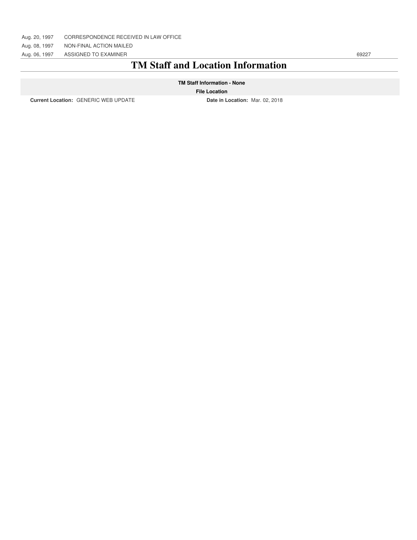Aug. 08, 1997 NON-FINAL ACTION MAILED

Aug. 06, 1997 ASSIGNED TO EXAMINER 69227

### **TM Staff and Location Information**

#### **TM Staff Information - None**

#### **File Location**

**Current Location:** GENERIC WEB UPDATE **Date in Location:** Mar. 02, 2018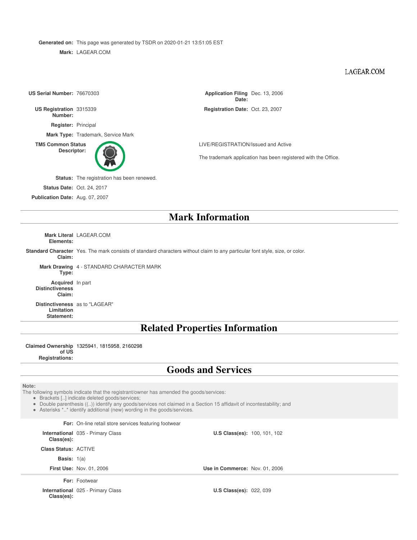**Generated on:** This page was generated by TSDR on 2020-01-21 13:51:05 EST

**Mark:** LAGEAR.COM

#### LAGEAR.COM

| US Serial Number: 76670303         |                                                   | Application Filing Dec. 13, 2006<br>Date: |                                                                |  |
|------------------------------------|---------------------------------------------------|-------------------------------------------|----------------------------------------------------------------|--|
| US Registration 3315339<br>Number: |                                                   | Registration Date: Oct. 23, 2007          |                                                                |  |
| Register: Principal                |                                                   |                                           |                                                                |  |
|                                    | Mark Type: Trademark, Service Mark                |                                           |                                                                |  |
|                                    | <b>TM5 Common Status</b>                          |                                           | LIVE/REGISTRATION/Issued and Active                            |  |
| Descriptor:                        |                                                   |                                           | The trademark application has been registered with the Office. |  |
|                                    | <b>Status:</b> The registration has been renewed. |                                           |                                                                |  |
|                                    | <b>Status Date: Oct. 24, 2017</b>                 |                                           |                                                                |  |
| Publication Date: Aug. 07, 2007    |                                                   |                                           |                                                                |  |
|                                    | <b>Mark Information</b>                           |                                           |                                                                |  |
|                                    |                                                   |                                           |                                                                |  |

**Mark Literal** LAGEAR.COM **Elements:**

**Standard Character** Yes. The mark consists of standard characters without claim to any particular font style, size, or color. **Claim:**

**Mark Drawing** 4 - STANDARD CHARACTER MARK

**Type:**

**Acquired** In part **Distinctiveness Claim:**

**Distinctiveness** as to "LAGEAR" **Limitation Statement:**

### **Related Properties Information**

**Claimed Ownership** 1325941, 1815958, 2160298 **of US**

**Registrations:**

### **Goods and Services**

**Note:**

The following symbols indicate that the registrant/owner has amended the goods/services:

Brackets [..] indicate deleted goods/services;

Double parenthesis ((..)) identify any goods/services not claimed in a Section 15 affidavit of incontestability; and

Asterisks \*..\* identify additional (new) wording in the goods/services.

#### **For:** On-line retail store services featuring footwear

**International** 035 - Primary Class **Class(es):**

**Class Status:** ACTIVE

**Basis:** 1(a)

**First Use:** Nov. 01, 2006 **Use in Commerce:** Nov. 01, 2006

**For:** Footwear

**International** 025 - Primary Class **Class(es):**

**U.S Class(es): 022, 039** 

**U.S Class(es): 100, 101, 102**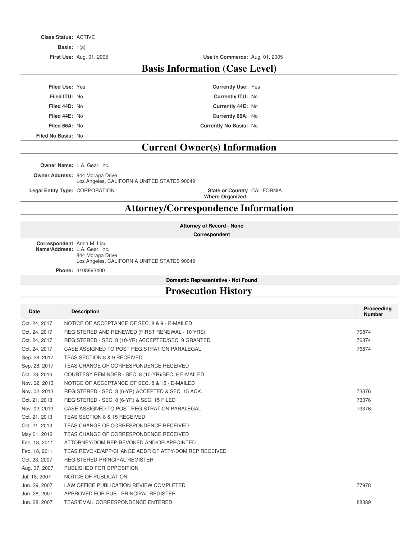**Class Status:** ACTIVE

**Basis:** 1(a)

**First Use:** Aug. 01, 2005 **Use in Commerce:** Aug. 01, 2005

### **Basis Information (Case Level)**

**Filed Use:** Yes **Currently Use:** Yes **Filed ITU:** No **Currently ITU:** No **Filed 44D:** No **Currently 44E:** No **Filed 44E:** No **Currently 66A:** No **Filed 66A:** No **Currently No Basis:** No

**Filed No Basis:** No

### **Current Owner(s) Information**

**Owner Name:** L.A. Gear, Inc.

**Owner Address:** 844 Moraga Drive Los Angeles, CALIFORNIA UNITED STATES 90049

**Legal Entity Type: CORPORATION** 

**Where Organized:** State or Country CALIFORNIA

### **Attorney/Correspondence Information**

**Attorney of Record - None**

**Correspondent**

**Correspondent** Anna M. Liau **Name/Address:** L.A. Gear, Inc. 844 Moraga Drive Los Angeles, CALIFORNIA UNITED STATES 90049

**Phone:** 3108893400

#### **Domestic Representative - Not Found**

### **Prosecution History**

| <b>Date</b>   | <b>Description</b>                                   | Proceeding<br><b>Number</b> |
|---------------|------------------------------------------------------|-----------------------------|
| Oct. 24, 2017 | NOTICE OF ACCEPTANCE OF SEC. 8 & 9 - E-MAILED        |                             |
| Oct. 24, 2017 | REGISTERED AND RENEWED (FIRST RENEWAL - 10 YRS)      | 76874                       |
| Oct. 24, 2017 | REGISTERED - SEC. 8 (10-YR) ACCEPTED/SEC. 9 GRANTED  | 76874                       |
| Oct. 24, 2017 | CASE ASSIGNED TO POST REGISTRATION PARALEGAL         | 76874                       |
| Sep. 28, 2017 | TEAS SECTION 8 & 9 RECEIVED                          |                             |
| Sep. 28, 2017 | TEAS CHANGE OF CORRESPONDENCE RECEIVED               |                             |
| Oct. 23, 2016 | COURTESY REMINDER - SEC. 8 (10-YR)/SEC. 9 E-MAILED   |                             |
| Nov. 02, 2013 | NOTICE OF ACCEPTANCE OF SEC. 8 & 15 - E-MAILED       |                             |
| Nov. 02, 2013 | REGISTERED - SEC. 8 (6-YR) ACCEPTED & SEC. 15 ACK.   | 73376                       |
| Oct. 21, 2013 | REGISTERED - SEC. 8 (6-YR) & SEC. 15 FILED           | 73376                       |
| Nov. 02, 2013 | CASE ASSIGNED TO POST REGISTRATION PARALEGAL         | 73376                       |
| Oct. 21, 2013 | TEAS SECTION 8 & 15 RECEIVED                         |                             |
| Oct. 21, 2013 | TEAS CHANGE OF CORRESPONDENCE RECEIVED               |                             |
| May 01, 2012  | TEAS CHANGE OF CORRESPONDENCE RECEIVED               |                             |
| Feb. 18, 2011 | ATTORNEY/DOM.REP.REVOKED AND/OR APPOINTED            |                             |
| Feb. 18, 2011 | TEAS REVOKE/APP/CHANGE ADDR OF ATTY/DOM REP RECEIVED |                             |
| Oct. 23, 2007 | REGISTERED-PRINCIPAL REGISTER                        |                             |
| Aug. 07, 2007 | PUBLISHED FOR OPPOSITION                             |                             |
| Jul. 18, 2007 | NOTICE OF PUBLICATION                                |                             |
| Jun. 29, 2007 | LAW OFFICE PUBLICATION REVIEW COMPLETED              | 77978                       |
| Jun. 28, 2007 | APPROVED FOR PUB - PRINCIPAL REGISTER                |                             |
| Jun. 28, 2007 | TEAS/EMAIL CORRESPONDENCE ENTERED                    | 88889                       |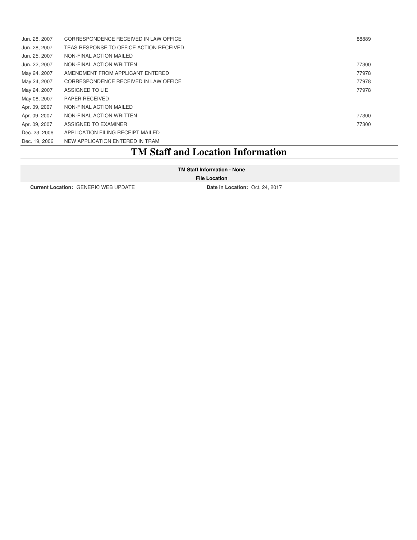| Jun. 28, 2007 | CORRESPONDENCE RECEIVED IN LAW OFFICE   | 88889 |
|---------------|-----------------------------------------|-------|
| Jun. 28, 2007 | TEAS RESPONSE TO OFFICE ACTION RECEIVED |       |
| Jun. 25, 2007 | NON-FINAL ACTION MAILED                 |       |
| Jun. 22, 2007 | NON-FINAL ACTION WRITTEN                | 77300 |
| May 24, 2007  | AMENDMENT FROM APPLICANT ENTERED        | 77978 |
| May 24, 2007  | CORRESPONDENCE RECEIVED IN LAW OFFICE   | 77978 |
| May 24, 2007  | ASSIGNED TO LIE                         | 77978 |
| May 08, 2007  | <b>PAPER RECEIVED</b>                   |       |
| Apr. 09, 2007 | NON-FINAL ACTION MAILED                 |       |
| Apr. 09, 2007 | NON-FINAL ACTION WRITTEN                | 77300 |
| Apr. 09, 2007 | ASSIGNED TO EXAMINER                    | 77300 |
| Dec. 23, 2006 | APPLICATION FILING RECEIPT MAILED       |       |
| Dec. 19, 2006 | NEW APPLICATION ENTERED IN TRAM         |       |

### **TM Staff and Location Information**

#### **TM Staff Information - None**

#### **File Location**

**Current Location:** GENERIC WEB UPDATE **Date in Location:** Oct. 24, 2017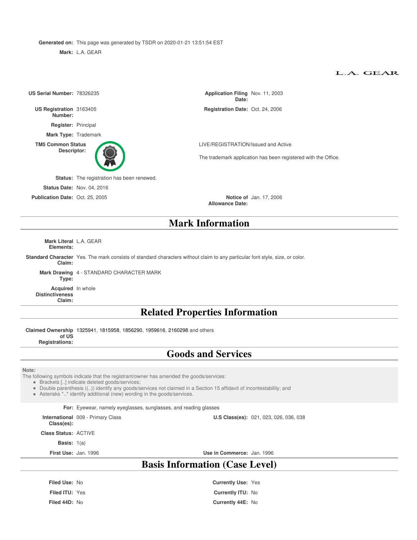**Generated on:** This page was generated by TSDR on 2020-01-21 13:51:54 EST

**Mark:** L.A. GEAR

#### L.A. GEAR

| US Serial Number: 78326235              |                                                                                                                                                                                                                       | Application Filing Nov. 11, 2003<br>Date:                                                                                    |  |  |
|-----------------------------------------|-----------------------------------------------------------------------------------------------------------------------------------------------------------------------------------------------------------------------|------------------------------------------------------------------------------------------------------------------------------|--|--|
| US Registration 3163405<br>Number:      |                                                                                                                                                                                                                       | Registration Date: Oct. 24, 2006                                                                                             |  |  |
| Register: Principal                     |                                                                                                                                                                                                                       |                                                                                                                              |  |  |
|                                         | Mark Type: Trademark                                                                                                                                                                                                  |                                                                                                                              |  |  |
| <b>TM5 Common Status</b><br>Descriptor: |                                                                                                                                                                                                                       | LIVE/REGISTRATION/Issued and Active<br>The trademark application has been registered with the Office.                        |  |  |
|                                         |                                                                                                                                                                                                                       |                                                                                                                              |  |  |
|                                         | Status: The registration has been renewed.                                                                                                                                                                            |                                                                                                                              |  |  |
|                                         | <b>Status Date: Nov. 04, 2016</b>                                                                                                                                                                                     |                                                                                                                              |  |  |
| Publication Date: Oct. 25, 2005         |                                                                                                                                                                                                                       | <b>Notice of Jan. 17, 2006</b><br><b>Allowance Date:</b>                                                                     |  |  |
|                                         |                                                                                                                                                                                                                       | <b>Mark Information</b>                                                                                                      |  |  |
| Mark Literal L.A. GEAR<br>Elements:     |                                                                                                                                                                                                                       |                                                                                                                              |  |  |
| Claim:                                  |                                                                                                                                                                                                                       | Standard Character Yes. The mark consists of standard characters without claim to any particular font style, size, or color. |  |  |
| Type:                                   | Mark Drawing 4 - STANDARD CHARACTER MARK                                                                                                                                                                              |                                                                                                                              |  |  |
| <b>Distinctiveness</b><br>Claim:        | Acquired In whole                                                                                                                                                                                                     |                                                                                                                              |  |  |
|                                         |                                                                                                                                                                                                                       | <b>Related Properties Information</b>                                                                                        |  |  |
|                                         |                                                                                                                                                                                                                       |                                                                                                                              |  |  |
| of US                                   | Claimed Ownership 1325941, 1815958, 1856290, 1959616, 2160298 and others                                                                                                                                              |                                                                                                                              |  |  |
| <b>Registrations:</b>                   |                                                                                                                                                                                                                       |                                                                                                                              |  |  |
|                                         |                                                                                                                                                                                                                       | <b>Goods and Services</b>                                                                                                    |  |  |
| Note:                                   | The following symbols indicate that the registrant/owner has amended the goods/services:<br>• Brackets [] indicate deleted goods/services;<br>• Asterisks ** identify additional (new) wording in the goods/services. | • Double parenthesis (()) identify any goods/services not claimed in a Section 15 affidavit of incontestability; and         |  |  |
|                                         | For: Eyewear, namely eyeglasses, sunglasses, and reading glasses                                                                                                                                                      |                                                                                                                              |  |  |
| Class(es):                              | International 009 - Primary Class<br><b>U.S Class(es): 021, 023, 026, 036, 038</b>                                                                                                                                    |                                                                                                                              |  |  |
| <b>Class Status: ACTIVE</b>             |                                                                                                                                                                                                                       |                                                                                                                              |  |  |
| <b>Basis:</b> $1(a)$                    |                                                                                                                                                                                                                       |                                                                                                                              |  |  |
|                                         | First Use: Jan. 1996                                                                                                                                                                                                  | Use in Commerce: Jan. 1996                                                                                                   |  |  |
|                                         |                                                                                                                                                                                                                       | <b>Basis Information (Case Level)</b>                                                                                        |  |  |
| Filed Use: No                           |                                                                                                                                                                                                                       | <b>Currently Use: Yes</b>                                                                                                    |  |  |
| Filed ITU: Yes                          |                                                                                                                                                                                                                       | Currently ITU: No                                                                                                            |  |  |
| Filed 44D: No                           |                                                                                                                                                                                                                       | Currently 44E: No                                                                                                            |  |  |
|                                         |                                                                                                                                                                                                                       |                                                                                                                              |  |  |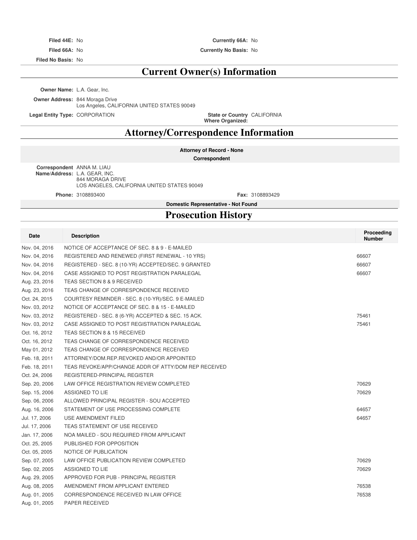**Filed No Basis:** No

#### **Filed 44E:** No **Currently 66A:** No

**Filed 66A:** No **Currently No Basis:** No

### **Current Owner(s) Information**

**Owner Name:** L.A. Gear, Inc.

**Owner Address:** 844 Moraga Drive

Los Angeles, CALIFORNIA UNITED STATES 90049

**Legal Entity Type: CORPORATION** 

**Where Organized:** State or Country CALIFORNIA

### **Attorney/Correspondence Information**

#### **Attorney of Record - None**

**Correspondent**

**Correspondent** ANNA M. LIAU **Name/Address:** L.A. GEAR, INC. 844 MORAGA DRIVE LOS ANGELES, CALIFORNIA UNITED STATES 90049

**Phone:** 3108893400 **Fax:** 3108893429

### **Domestic Representative - Not Found Prosecution History**

| Date          | <b>Description</b>                                   | Proceeding<br><b>Number</b> |
|---------------|------------------------------------------------------|-----------------------------|
| Nov. 04, 2016 | NOTICE OF ACCEPTANCE OF SEC. 8 & 9 - E-MAILED        |                             |
| Nov. 04, 2016 | REGISTERED AND RENEWED (FIRST RENEWAL - 10 YRS)      | 66607                       |
| Nov. 04, 2016 | REGISTERED - SEC. 8 (10-YR) ACCEPTED/SEC. 9 GRANTED  | 66607                       |
| Nov. 04, 2016 | CASE ASSIGNED TO POST REGISTRATION PARALEGAL         | 66607                       |
| Aug. 23, 2016 | TEAS SECTION 8 & 9 RECEIVED                          |                             |
| Aug. 23, 2016 | TEAS CHANGE OF CORRESPONDENCE RECEIVED               |                             |
| Oct. 24, 2015 | COURTESY REMINDER - SEC. 8 (10-YR)/SEC. 9 E-MAILED   |                             |
| Nov. 03, 2012 | NOTICE OF ACCEPTANCE OF SEC. 8 & 15 - E-MAILED       |                             |
| Nov. 03, 2012 | REGISTERED - SEC. 8 (6-YR) ACCEPTED & SEC. 15 ACK.   | 75461                       |
| Nov. 03, 2012 | CASE ASSIGNED TO POST REGISTRATION PARALEGAL         | 75461                       |
| Oct. 16, 2012 | TEAS SECTION 8 & 15 RECEIVED                         |                             |
| Oct. 16, 2012 | TEAS CHANGE OF CORRESPONDENCE RECEIVED               |                             |
| May 01, 2012  | TEAS CHANGE OF CORRESPONDENCE RECEIVED               |                             |
| Feb. 18, 2011 | ATTORNEY/DOM.REP.REVOKED AND/OR APPOINTED            |                             |
| Feb. 18, 2011 | TEAS REVOKE/APP/CHANGE ADDR OF ATTY/DOM REP RECEIVED |                             |
| Oct. 24, 2006 | REGISTERED-PRINCIPAL REGISTER                        |                             |
| Sep. 20, 2006 | LAW OFFICE REGISTRATION REVIEW COMPLETED             | 70629                       |
| Sep. 15, 2006 | ASSIGNED TO LIE                                      | 70629                       |
| Sep. 06, 2006 | ALLOWED PRINCIPAL REGISTER - SOU ACCEPTED            |                             |
| Aug. 16, 2006 | STATEMENT OF USE PROCESSING COMPLETE                 | 64657                       |
| Jul. 17, 2006 | USE AMENDMENT FILED                                  | 64657                       |
| Jul. 17, 2006 | TEAS STATEMENT OF USE RECEIVED                       |                             |
| Jan. 17, 2006 | NOA MAILED - SOU REQUIRED FROM APPLICANT             |                             |
| Oct. 25, 2005 | PUBLISHED FOR OPPOSITION                             |                             |
| Oct. 05, 2005 | NOTICE OF PUBLICATION                                |                             |
| Sep. 07, 2005 | LAW OFFICE PUBLICATION REVIEW COMPLETED              | 70629                       |
| Sep. 02, 2005 | ASSIGNED TO LIE                                      | 70629                       |
| Aug. 29, 2005 | APPROVED FOR PUB - PRINCIPAL REGISTER                |                             |
| Aug. 08, 2005 | AMENDMENT FROM APPLICANT ENTERED                     | 76538                       |
| Aug. 01, 2005 | CORRESPONDENCE RECEIVED IN LAW OFFICE                | 76538                       |
| Aug. 01, 2005 | <b>PAPER RECEIVED</b>                                |                             |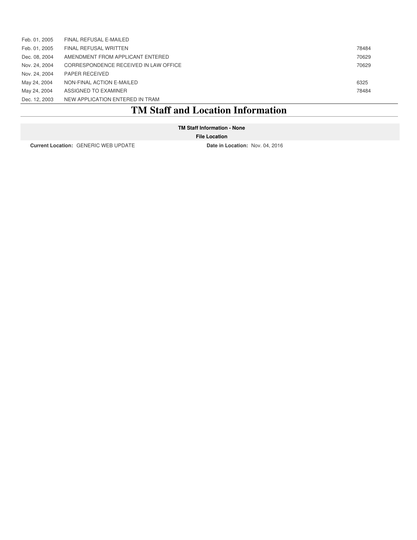| Dec. 12, 2003 | NEW APPLICATION ENTERED IN TRAM       |       |
|---------------|---------------------------------------|-------|
| May 24, 2004  | ASSIGNED TO EXAMINER                  | 78484 |
| May 24, 2004  | NON-FINAL ACTION E-MAILED             | 6325  |
| Nov. 24, 2004 | PAPER RECEIVED                        |       |
| Nov. 24, 2004 | CORRESPONDENCE RECEIVED IN LAW OFFICE | 70629 |
| Dec. 08, 2004 | AMENDMENT FROM APPLICANT ENTERED      | 70629 |
| Feb. 01, 2005 | <b>FINAL REFUSAL WRITTEN</b>          | 78484 |
| Feb. 01, 2005 | FINAL REFUSAL E-MAILED                |       |

### **TM Staff and Location Information**

**TM Staff Information - None**

**File Location**

**Current Location:** GENERIC WEB UPDATE **Date in Location:** Nov. 04, 2016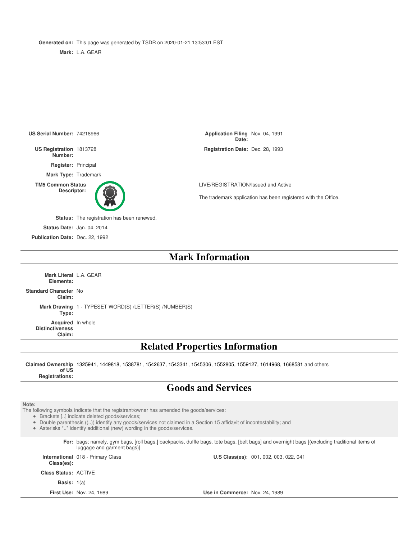**Generated on:** This page was generated by TSDR on 2020-01-21 13:53:01 EST

**Mark:** L.A. GEAR



### **Mark Information**

**Mark Literal** L.A. GEAR **Elements: Standard Character** No **Claim: Mark Drawing** 1 - TYPESET WORD(S) /LETTER(S) /NUMBER(S) **Type: Acquired** In whole **Distinctiveness Claim:**

### **Related Properties Information**

**Claimed Ownership** 1325941, 1449818, 1538781, 1542637, 1543341, 1545306, 1552805, 1559127, 1614968, 1668581 and others **of US Registrations:**

### **Goods and Services**

#### **Note:**

The following symbols indicate that the registrant/owner has amended the goods/services:

- Brackets [..] indicate deleted goods/services;
- Double parenthesis ((..)) identify any goods/services not claimed in a Section 15 affidavit of incontestability; and
- Asterisks \*..\* identify additional (new) wording in the goods/services.

For: bags; namely, gym bags, [roll bags,] backpacks, duffle bags, tote bags, [belt bags] and overnight bags [(excluding traditional items of luggage and garment bags)]

**International** 018 - Primary Class **Class(es):**

**U.S Class(es):** 001, 002, 003, 022, 041

**Class Status:** ACTIVE

**Basis:** 1(a)

**First Use:** Nov. 24, 1989 **Use in Commerce:** Nov. 24, 1989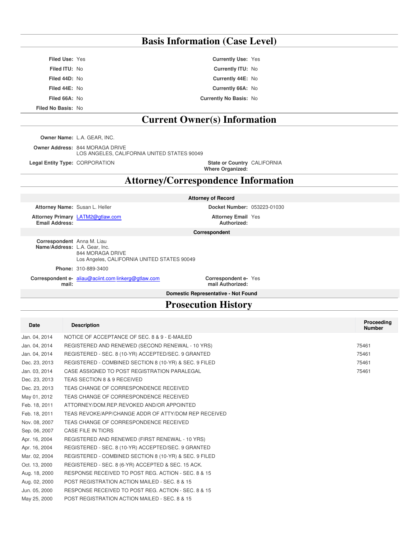### **Basis Information (Case Level)**

**Filed Use:** Yes **Currently Use:** Yes **Filed ITU:** No **Currently ITU:** No **Filed 44D:** No **Currently 44E:** No **Filed 44E:** No **Currently 66A:** No **Filed 66A:** No **Currently No Basis:** No **Filed No Basis:** No

**Current Owner(s) Information**

**Owner Name:** L.A. GEAR, INC.

**Owner Address:** 844 MORAGA DRIVE LOS ANGELES, CALIFORNIA UNITED STATES 90049

**Legal Entity Type: CORPORATION** 

**Where Organized:** State or Country CALIFORNIA

### **Attorney/Correspondence Information**

**Attorney Name:** Susan L. Heller **Docket Number:** 053223-01030

**Attorney Primary** LATM2@gtlaw.com **Attorney Email Email Address:**

**Attorney of Record**

**Authorized: Attorney Email Yes** 

**Correspondent**

**Correspondent** Anna M. Liau **Name/Address:** L.A. Gear, Inc. 844 MORAGA DRIVE Los Angeles, CALIFORNIA UNITED STATES 90049

**Phone:** 310-889-3400

**Correspondent e-** aliau@aciint.com linkerg@gtlaw.com **Correspondent email:**

**mail Authorized:** Correspondent e- Yes

**Domestic Representative - Not Found**

### **Prosecution History**

| <b>Date</b>   | <b>Description</b>                                     | Proceeding<br><b>Number</b> |
|---------------|--------------------------------------------------------|-----------------------------|
| Jan. 04, 2014 | NOTICE OF ACCEPTANCE OF SEC. 8 & 9 - E-MAILED          |                             |
| Jan. 04, 2014 | REGISTERED AND RENEWED (SECOND RENEWAL - 10 YRS)       | 75461                       |
| Jan. 04, 2014 | REGISTERED - SEC. 8 (10-YR) ACCEPTED/SEC. 9 GRANTED    | 75461                       |
| Dec. 23, 2013 | REGISTERED - COMBINED SECTION 8 (10-YR) & SEC. 9 FILED | 75461                       |
| Jan. 03, 2014 | CASE ASSIGNED TO POST REGISTRATION PARALEGAL           | 75461                       |
| Dec. 23, 2013 | TEAS SECTION 8 & 9 RECEIVED                            |                             |
| Dec. 23, 2013 | TEAS CHANGE OF CORRESPONDENCE RECEIVED                 |                             |
| May 01, 2012  | TEAS CHANGE OF CORRESPONDENCE RECEIVED                 |                             |
| Feb. 18, 2011 | ATTORNEY/DOM.REP.REVOKED AND/OR APPOINTED              |                             |
| Feb. 18, 2011 | TEAS REVOKE/APP/CHANGE ADDR OF ATTY/DOM REP RECEIVED   |                             |
| Nov. 08, 2007 | TEAS CHANGE OF CORRESPONDENCE RECEIVED                 |                             |
| Sep. 06, 2007 | CASE FILE IN TICRS                                     |                             |
| Apr. 16, 2004 | REGISTERED AND RENEWED (FIRST RENEWAL - 10 YRS)        |                             |
| Apr. 16, 2004 | REGISTERED - SEC. 8 (10-YR) ACCEPTED/SEC. 9 GRANTED    |                             |
| Mar. 02, 2004 | REGISTERED - COMBINED SECTION 8 (10-YR) & SEC. 9 FILED |                             |
| Oct. 13, 2000 | REGISTERED - SEC. 8 (6-YR) ACCEPTED & SEC. 15 ACK.     |                             |
| Aug. 18, 2000 | RESPONSE RECEIVED TO POST REG. ACTION - SEC. 8 & 15    |                             |
| Aug. 02, 2000 | POST REGISTRATION ACTION MAILED - SEC. 8 & 15          |                             |
| Jun. 05, 2000 | RESPONSE RECEIVED TO POST REG. ACTION - SEC. 8 & 15    |                             |
| May 25, 2000  | POST REGISTRATION ACTION MAILED - SEC. 8 & 15          |                             |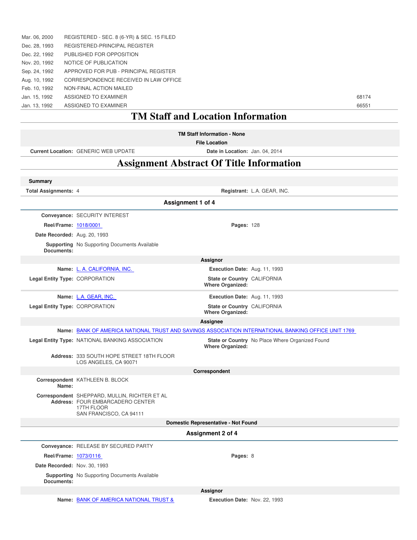| Jan. 13, 1992 | ASSIGNED TO EXAMINER                       | 66551 |
|---------------|--------------------------------------------|-------|
| Jan. 15, 1992 | ASSIGNED TO EXAMINER                       | 68174 |
| Feb. 10, 1992 | NON-FINAL ACTION MAILED                    |       |
| Aug. 10, 1992 | CORRESPONDENCE RECEIVED IN LAW OFFICE      |       |
| Sep. 24, 1992 | APPROVED FOR PUB - PRINCIPAL REGISTER      |       |
| Nov. 20, 1992 | NOTICE OF PUBLICATION                      |       |
| Dec. 22, 1992 | PUBLISHED FOR OPPOSITION                   |       |
| Dec. 28, 1993 | REGISTERED-PRINCIPAL REGISTER              |       |
| Mar. 06, 2000 | REGISTERED - SEC. 8 (6-YR) & SEC. 15 FILED |       |

#### **TM Staff and Location Information TM Staff Information - None File Location Current Location:** GENERIC WEB UPDATE **Date in Location:** Jan. 04, 2014 **Assignment Abstract Of Title Information Summary Total Assignments:** 4 **Registrant:** L.A. GEAR, INC. **Assignment 1 of 4 Conveyance:** SECURITY INTEREST **Reel/Frame:** 1018/0001 **Pages:** 128 **Date Recorded:** Aug. 20, 1993 **Supporting** No Supporting Documents Available **Documents: Assignor Name:** L. A. CALIFORNIA, INC. **Execution Date:** Aug. 11, 1993 **Legal Entity Type: CORPORATION Where Organized:** State or Country CALIFORNIA **Name:** L.A. GEAR, INC. **Execution Date:** Aug. 11, 1993 **Legal Entity Type: CORPORATION Where Organized:** State or Country CALIFORNIA **Assignee Name:** BANK OF AMERICA NATIONAL TRUST AND SAVINGS ASSOCIATION INTERNATIONAL BANKING OFFICE UNIT 1769 **Legal Entity Type: NATIONAL BANKING ASSOCIATION Where Organized:** State or Country No Place Where Organized Found **Address:** 333 SOUTH HOPE STREET 18TH FLOOR LOS ANGELES, CA 90071 **Correspondent Correspondent** KATHLEEN B. BLOCK **Name: Correspondent** SHEPPARD, MULLIN, RICHTER ET AL **Address:** FOUR EMBARCADERO CENTER 17TH FLOOR SAN FRANCISCO, CA 94111 **Domestic Representative - Not Found Assignment 2 of 4 Conveyance:** RELEASE BY SECURED PARTY **Reel/Frame:** 1073/0116 **Pages:** 8 **Date Recorded:** Nov. 30, 1993 **Supporting** No Supporting Documents Available

**Documents:**

**Assignor**

**Name:** BANK OF AMERICA NATIONAL TRUST & **Execution Date:** Nov. 22, 1993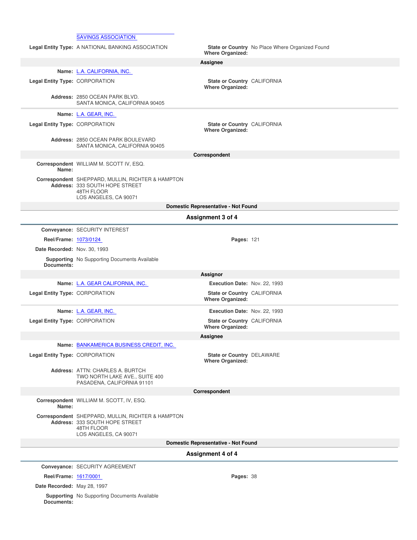|                                | <b>SAVINGS ASSOCIATION</b>                                                                                                 |                                                        |                                                 |
|--------------------------------|----------------------------------------------------------------------------------------------------------------------------|--------------------------------------------------------|-------------------------------------------------|
|                                | Legal Entity Type: A NATIONAL BANKING ASSOCIATION                                                                          |                                                        | State or Country No Place Where Organized Found |
|                                |                                                                                                                            | <b>Where Organized:</b>                                |                                                 |
|                                |                                                                                                                            | Assignee                                               |                                                 |
|                                | Name: L.A. CALIFORNIA, INC.                                                                                                |                                                        |                                                 |
| Legal Entity Type: CORPORATION |                                                                                                                            | State or Country CALIFORNIA<br><b>Where Organized:</b> |                                                 |
|                                | Address: 2850 OCEAN PARK BLVD.<br>SANTA MONICA, CALIFORNIA 90405                                                           |                                                        |                                                 |
|                                | Name: L.A. GEAR, INC.                                                                                                      |                                                        |                                                 |
| Legal Entity Type: CORPORATION |                                                                                                                            | State or Country CALIFORNIA<br><b>Where Organized:</b> |                                                 |
|                                | Address: 2850 OCEAN PARK BOULEVARD<br>SANTA MONICA, CALIFORNIA 90405                                                       |                                                        |                                                 |
|                                |                                                                                                                            | Correspondent                                          |                                                 |
| Name:                          | Correspondent WILLIAM M. SCOTT IV, ESQ.                                                                                    |                                                        |                                                 |
|                                | Correspondent SHEPPARD, MULLIN, RICHTER & HAMPTON<br>Address: 333 SOUTH HOPE STREET<br>48TH FLOOR<br>LOS ANGELES, CA 90071 |                                                        |                                                 |
|                                |                                                                                                                            | Domestic Representative - Not Found                    |                                                 |
|                                |                                                                                                                            | Assignment 3 of 4                                      |                                                 |
|                                | Conveyance: SECURITY INTEREST                                                                                              |                                                        |                                                 |
| Reel/Frame: 1073/0124          |                                                                                                                            | <b>Pages: 121</b>                                      |                                                 |
| Date Recorded: Nov. 30, 1993   |                                                                                                                            |                                                        |                                                 |
|                                | <b>Supporting</b> No Supporting Documents Available                                                                        |                                                        |                                                 |
| Documents:                     |                                                                                                                            |                                                        |                                                 |
|                                |                                                                                                                            | Assignor                                               |                                                 |
|                                | Name: L.A. GEAR CALIFORNIA, INC.                                                                                           | Execution Date: Nov. 22, 1993                          |                                                 |
| Legal Entity Type: CORPORATION |                                                                                                                            | State or Country CALIFORNIA<br><b>Where Organized:</b> |                                                 |
|                                | Name: L.A. GEAR, INC.                                                                                                      | Execution Date: Nov. 22, 1993                          |                                                 |
| Legal Entity Type: CORPORATION |                                                                                                                            | State or Country CALIFORNIA<br><b>Where Organized:</b> |                                                 |
|                                |                                                                                                                            | Assignee                                               |                                                 |
|                                | Name: BANKAMERICA BUSINESS CREDIT, INC.                                                                                    |                                                        |                                                 |
| Legal Entity Type: CORPORATION |                                                                                                                            | State or Country DELAWARE<br><b>Where Organized:</b>   |                                                 |
|                                | Address: ATTN: CHARLES A. BURTCH<br>TWO NORTH LAKE AVE., SUITE 400<br>PASADENA, CALIFORNIA 91101                           |                                                        |                                                 |
|                                |                                                                                                                            | Correspondent                                          |                                                 |
| Name:                          | Correspondent WILLIAM M. SCOTT, IV, ESQ.                                                                                   |                                                        |                                                 |
|                                | Correspondent SHEPPARD, MULLIN, RICHTER & HAMPTON<br>Address: 333 SOUTH HOPE STREET<br>48TH FLOOR<br>LOS ANGELES, CA 90071 |                                                        |                                                 |
|                                |                                                                                                                            | Domestic Representative - Not Found                    |                                                 |
|                                |                                                                                                                            | Assignment 4 of 4                                      |                                                 |
|                                | Conveyance: SECURITY AGREEMENT                                                                                             |                                                        |                                                 |
| Reel/Frame: 1617/0001          |                                                                                                                            | Pages: 38                                              |                                                 |
| Date Recorded: May 28, 1997    |                                                                                                                            |                                                        |                                                 |
|                                | <b>Supporting</b> No Supporting Documents Available                                                                        |                                                        |                                                 |
| Documents:                     |                                                                                                                            |                                                        |                                                 |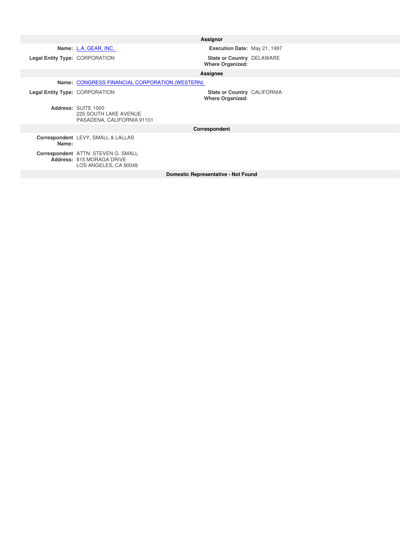**Legal Entity Type: CORPORATION** 

**Assignor**

**Name:** L.A. GEAR, INC. **Execution Date:** May 21, 1997

**Where Organized:** State or Country DELAWARE

#### **Assignee**

**Name:** CONGRESS FINANCIAL CORPORATION (WESTERN)

**Legal Entity Type: CORPORATION** 

**Address:** SUITE 1000 225 SOUTH LAKE AVENUE PASADENA, CALIFORNIA 91101 **Where Organized:** CALIFORNIA

**Correspondent**

**Correspondent** LEVY, SMALL & LALLAS **Name:**

**Correspondent Address:** ATTN: STEVEN G. SMALL 815 MORAGA DRIVE LOS ANGELES, CA 90049

**Domestic Representative - Not Found**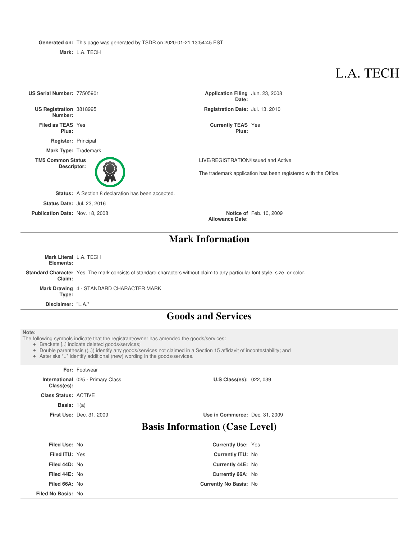**Generated on:** This page was generated by TSDR on 2020-01-21 13:54:45 EST

**Mark:** L.A. TECH

## L.A. TECH

**US Serial Number: 77505901 Date:** Application Filing Jun. 23, 2008 **US Registration Number:** Registration Date: Jul. 13, 2010 **Filed as TEAS Plus:** Yes **Currently TEAS** Yes **Plus: Register:** Principal **Mark Type:** Trademark **TM5 Common Status Descriptor:** LIVE/REGISTRATION/Issued and Active The trademark application has been registered with the Office. **Status:** A Section 8 declaration has been accepted. **Status Date:** Jul. 23, 2016 **Publication Date:** Nov. 18, 2008 **Allowance Date:** Notice of Feb. 10, 2009

### **Mark Information**

**Mark Literal** L.A. TECH **Elements:**

**Standard Character** Yes. The mark consists of standard characters without claim to any particular font style, size, or color.

**Claim:**

**Mark Drawing** 4 - STANDARD CHARACTER MARK **Type:**

**Disclaimer:** "L.A."

### **Goods and Services**

**Note:**

The following symbols indicate that the registrant/owner has amended the goods/services:

Brackets [..] indicate deleted goods/services;

- Double parenthesis ((..)) identify any goods/services not claimed in a Section 15 affidavit of incontestability; and
- Asterisks \*..\* identify additional (new) wording in the goods/services.

#### **For:** Footwear

**International** 025 - Primary Class **Class(es):**

**Class Status:** ACTIVE

**Basis:** 1(a)

**First Use:** Dec. 31, 2009 **Use in Commerce:** Dec. 31, 2009

**U.S Class(es):** 022, 039

### **Basis Information (Case Level)**

| <b>Filed Use: No</b>  | <b>Currently Use: Yes</b>     |  |
|-----------------------|-------------------------------|--|
| <b>Filed ITU: Yes</b> | <b>Currently ITU: No</b>      |  |
| Filed 44D: No         | Currently 44E: No             |  |
| Filed 44E: No         | Currently 66A: No             |  |
| Filed 66A: No         | <b>Currently No Basis: No</b> |  |
| Filed No Basis: No    |                               |  |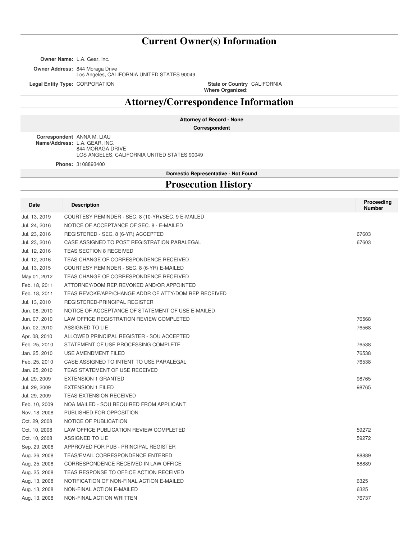### **Current Owner(s) Information**

**Owner Name:** L.A. Gear, Inc.

**Owner Address:** 844 Moraga Drive Los Angeles, CALIFORNIA UNITED STATES 90049

**Legal Entity Type: CORPORATION** 

**Where Organized:** State or Country CALIFORNIA

### **Attorney/Correspondence Information**

**Attorney of Record - None**

**Correspondent**

**Correspondent** ANNA M. LIAU **Name/Address:** L.A. GEAR, INC. 844 MORAGA DRIVE LOS ANGELES, CALIFORNIA UNITED STATES 90049

**Phone:** 3108893400

**Domestic Representative - Not Found**

### **Prosecution History**

| Date          | <b>Description</b>                                   | Proceeding<br><b>Number</b> |
|---------------|------------------------------------------------------|-----------------------------|
| Jul. 13, 2019 | COURTESY REMINDER - SEC. 8 (10-YR)/SEC. 9 E-MAILED   |                             |
| Jul. 24, 2016 | NOTICE OF ACCEPTANCE OF SEC. 8 - E-MAILED            |                             |
| Jul. 23, 2016 | REGISTERED - SEC. 8 (6-YR) ACCEPTED                  | 67603                       |
| Jul. 23, 2016 | CASE ASSIGNED TO POST REGISTRATION PARALEGAL         | 67603                       |
| Jul. 12, 2016 | <b>TEAS SECTION 8 RECEIVED</b>                       |                             |
| Jul. 12, 2016 | TEAS CHANGE OF CORRESPONDENCE RECEIVED               |                             |
| Jul. 13, 2015 | COURTESY REMINDER - SEC. 8 (6-YR) E-MAILED           |                             |
| May 01, 2012  | TEAS CHANGE OF CORRESPONDENCE RECEIVED               |                             |
| Feb. 18, 2011 | ATTORNEY/DOM.REP.REVOKED AND/OR APPOINTED            |                             |
| Feb. 18, 2011 | TEAS REVOKE/APP/CHANGE ADDR OF ATTY/DOM REP RECEIVED |                             |
| Jul. 13, 2010 | REGISTERED-PRINCIPAL REGISTER                        |                             |
| Jun. 08, 2010 | NOTICE OF ACCEPTANCE OF STATEMENT OF USE E-MAILED    |                             |
| Jun. 07, 2010 | LAW OFFICE REGISTRATION REVIEW COMPLETED             | 76568                       |
| Jun. 02, 2010 | ASSIGNED TO LIE                                      | 76568                       |
| Apr. 08, 2010 | ALLOWED PRINCIPAL REGISTER - SOU ACCEPTED            |                             |
| Feb. 25, 2010 | STATEMENT OF USE PROCESSING COMPLETE                 | 76538                       |
| Jan. 25, 2010 | USE AMENDMENT FILED                                  | 76538                       |
| Feb. 25, 2010 | CASE ASSIGNED TO INTENT TO USE PARALEGAL             | 76538                       |
| Jan. 25, 2010 | TEAS STATEMENT OF USE RECEIVED                       |                             |
| Jul. 29, 2009 | <b>EXTENSION 1 GRANTED</b>                           | 98765                       |
| Jul. 29, 2009 | <b>EXTENSION 1 FILED</b>                             | 98765                       |
| Jul. 29, 2009 | <b>TEAS EXTENSION RECEIVED</b>                       |                             |
| Feb. 10, 2009 | NOA MAILED - SOU REQUIRED FROM APPLICANT             |                             |
| Nov. 18, 2008 | PUBLISHED FOR OPPOSITION                             |                             |
| Oct. 29, 2008 | NOTICE OF PUBLICATION                                |                             |
| Oct. 10, 2008 | LAW OFFICE PUBLICATION REVIEW COMPLETED              | 59272                       |
| Oct. 10, 2008 | ASSIGNED TO LIE                                      | 59272                       |
| Sep. 29, 2008 | APPROVED FOR PUB - PRINCIPAL REGISTER                |                             |
| Aug. 26, 2008 | <b>TEAS/EMAIL CORRESPONDENCE ENTERED</b>             | 88889                       |
| Aug. 25, 2008 | CORRESPONDENCE RECEIVED IN LAW OFFICE                | 88889                       |
| Aug. 25, 2008 | TEAS RESPONSE TO OFFICE ACTION RECEIVED              |                             |
| Aug. 13, 2008 | NOTIFICATION OF NON-FINAL ACTION E-MAILED            | 6325                        |
| Aug. 13, 2008 | NON-FINAL ACTION E-MAILED                            | 6325                        |
| Aug. 13, 2008 | NON-FINAL ACTION WRITTEN                             | 76737                       |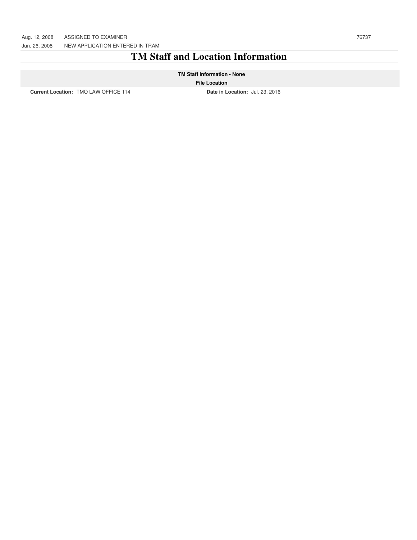### **TM Staff and Location Information**

#### **TM Staff Information - None**

#### **File Location**

**Current Location:** TMO LAW OFFICE 114 **Date in Location:** Jul. 23, 2016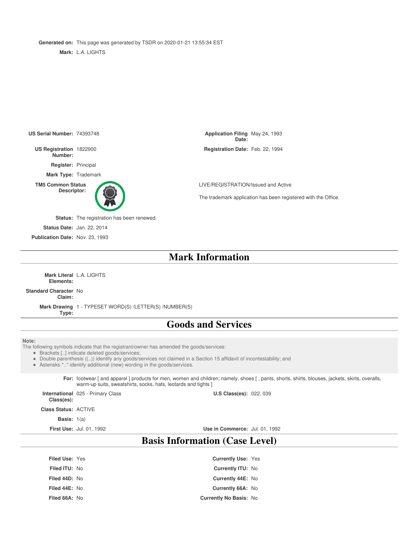**Generated on:** This page was generated by TSDR on 2020-01-21 13:55:34 EST

**Mark:** L.A. LIGHTS



**Filed 44E:** No **Currently 66A:** No **Filed 66A:** No **Currently No Basis:** No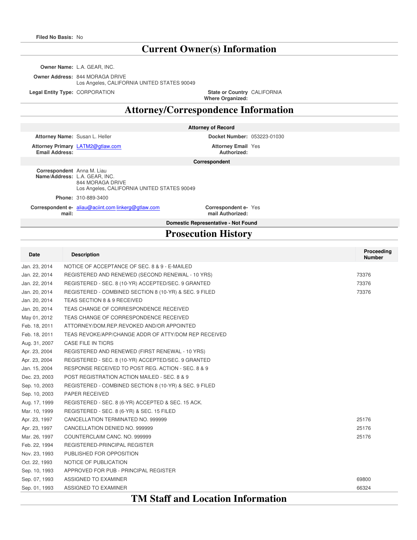### **Current Owner(s) Information**

**Owner Name:** L.A. GEAR, INC.

**Owner Address:** 844 MORAGA DRIVE Los Angeles, CALIFORNIA UNITED STATES 90049

**Legal Entity Type: CORPORATION** 

**Where Organized:** State or Country CALIFORNIA

### **Attorney/Correspondence Information**

**Attorney of Record**

**Attorney Name:** Susan L. Heller **Docket Number:** 053223-01030

**Attorney Primary** LATM2@gtlaw.com **Attorney Email Email Address:**

**Authorized:** Attorney Email Yes

**Correspondent**

**Correspondent** Anna M. Liau **Name/Address:** L.A. GEAR, INC. 844 MORAGA DRIVE Los Angeles, CALIFORNIA UNITED STATES 90049

**Phone:** 310-889-3400

**Correspondent e-** aliau@aciint.com linkerg@gtlaw.com **Correspondent email:**

**mail Authorized:** Correspondent e- Yes

#### **Domestic Representative - Not Found**

### **Prosecution History**

| Date          | <b>Description</b>                                     | Proceeding<br><b>Number</b> |  |
|---------------|--------------------------------------------------------|-----------------------------|--|
| Jan. 23, 2014 | NOTICE OF ACCEPTANCE OF SEC. 8 & 9 - E-MAILED          |                             |  |
| Jan. 22, 2014 | REGISTERED AND RENEWED (SECOND RENEWAL - 10 YRS)       | 73376                       |  |
| Jan. 22, 2014 | REGISTERED - SEC. 8 (10-YR) ACCEPTED/SEC. 9 GRANTED    | 73376                       |  |
| Jan. 20, 2014 | REGISTERED - COMBINED SECTION 8 (10-YR) & SEC. 9 FILED | 73376                       |  |
| Jan. 20, 2014 | TEAS SECTION 8 & 9 RECEIVED                            |                             |  |
| Jan. 20, 2014 | TEAS CHANGE OF CORRESPONDENCE RECEIVED                 |                             |  |
| May 01, 2012  | TEAS CHANGE OF CORRESPONDENCE RECEIVED                 |                             |  |
| Feb. 18, 2011 | ATTORNEY/DOM.REP.REVOKED AND/OR APPOINTED              |                             |  |
| Feb. 18, 2011 | TEAS REVOKE/APP/CHANGE ADDR OF ATTY/DOM REP RECEIVED   |                             |  |
| Aug. 31, 2007 | CASE FILE IN TICRS                                     |                             |  |
| Apr. 23, 2004 | REGISTERED AND RENEWED (FIRST RENEWAL - 10 YRS)        |                             |  |
| Apr. 23, 2004 | REGISTERED - SEC. 8 (10-YR) ACCEPTED/SEC. 9 GRANTED    |                             |  |
| Jan. 15, 2004 | RESPONSE RECEIVED TO POST REG. ACTION - SEC. 8 & 9     |                             |  |
| Dec. 23, 2003 | POST REGISTRATION ACTION MAILED - SEC. 8 & 9           |                             |  |
| Sep. 10, 2003 | REGISTERED - COMBINED SECTION 8 (10-YR) & SEC. 9 FILED |                             |  |
| Sep. 10, 2003 | <b>PAPER RECEIVED</b>                                  |                             |  |
| Aug. 17, 1999 | REGISTERED - SEC. 8 (6-YR) ACCEPTED & SEC. 15 ACK.     |                             |  |
| Mar. 10, 1999 | REGISTERED - SEC. 8 (6-YR) & SEC. 15 FILED             |                             |  |
| Apr. 23, 1997 | CANCELLATION TERMINATED NO. 999999                     | 25176                       |  |
| Apr. 23, 1997 | CANCELLATION DENIED NO. 999999                         | 25176                       |  |
| Mar. 26, 1997 | COUNTERCLAIM CANC. NO. 999999                          | 25176                       |  |
| Feb. 22, 1994 | REGISTERED-PRINCIPAL REGISTER                          |                             |  |
| Nov. 23, 1993 | PUBLISHED FOR OPPOSITION                               |                             |  |
| Oct. 22, 1993 | NOTICE OF PUBLICATION                                  |                             |  |
| Sep. 10, 1993 | APPROVED FOR PUB - PRINCIPAL REGISTER                  |                             |  |
| Sep. 07, 1993 | ASSIGNED TO EXAMINER                                   | 69800                       |  |
| Sep. 01, 1993 | ASSIGNED TO EXAMINER                                   | 66324                       |  |

### **TM Staff and Location Information**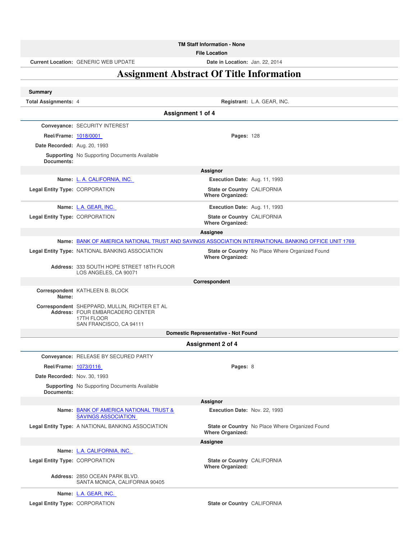**TM Staff Information - None**

**File Location**

**Current Location:** GENERIC WEB UPDATE **Date in Location:** Jan. 22, 2014

### **Assignment Abstract Of Title Information**

| <b>Summary</b>                 |                                                                                                                            |                                                        |                                                                                                     |
|--------------------------------|----------------------------------------------------------------------------------------------------------------------------|--------------------------------------------------------|-----------------------------------------------------------------------------------------------------|
| <b>Total Assignments: 4</b>    |                                                                                                                            |                                                        | Registrant: L.A. GEAR, INC.                                                                         |
|                                |                                                                                                                            | Assignment 1 of 4                                      |                                                                                                     |
|                                | Conveyance: SECURITY INTEREST                                                                                              |                                                        |                                                                                                     |
| Reel/Frame: 1018/0001          |                                                                                                                            | <b>Pages: 128</b>                                      |                                                                                                     |
| Date Recorded: Aug. 20, 1993   |                                                                                                                            |                                                        |                                                                                                     |
| Documents:                     | <b>Supporting</b> No Supporting Documents Available                                                                        |                                                        |                                                                                                     |
|                                |                                                                                                                            | <b>Assignor</b>                                        |                                                                                                     |
|                                | Name: L. A. CALIFORNIA, INC.                                                                                               | Execution Date: Aug. 11, 1993                          |                                                                                                     |
| Legal Entity Type: CORPORATION |                                                                                                                            | State or Country CALIFORNIA<br><b>Where Organized:</b> |                                                                                                     |
|                                | Name: L.A. GEAR, INC.                                                                                                      | Execution Date: Aug. 11, 1993                          |                                                                                                     |
| Legal Entity Type: CORPORATION |                                                                                                                            | State or Country CALIFORNIA<br>Where Organized:        |                                                                                                     |
|                                |                                                                                                                            | Assignee                                               |                                                                                                     |
|                                |                                                                                                                            |                                                        | Name: BANK OF AMERICA NATIONAL TRUST AND SAVINGS ASSOCIATION INTERNATIONAL BANKING OFFICE UNIT 1769 |
|                                | Legal Entity Type: NATIONAL BANKING ASSOCIATION                                                                            | <b>Where Organized:</b>                                | State or Country No Place Where Organized Found                                                     |
|                                | Address: 333 SOUTH HOPE STREET 18TH FLOOR<br>LOS ANGELES, CA 90071                                                         |                                                        |                                                                                                     |
|                                |                                                                                                                            | Correspondent                                          |                                                                                                     |
| Name:                          | Correspondent KATHLEEN B. BLOCK                                                                                            |                                                        |                                                                                                     |
|                                | Correspondent SHEPPARD, MULLIN, RICHTER ET AL<br>Address: FOUR EMBARCADERO CENTER<br>17TH FLOOR<br>SAN FRANCISCO, CA 94111 |                                                        |                                                                                                     |
|                                |                                                                                                                            | Domestic Representative - Not Found                    |                                                                                                     |
|                                |                                                                                                                            | <b>Assignment 2 of 4</b>                               |                                                                                                     |
|                                | Conveyance: RELEASE BY SECURED PARTY                                                                                       |                                                        |                                                                                                     |
| Reel/Frame: 1073/0116          |                                                                                                                            | Pages: 8                                               |                                                                                                     |
| Date Recorded: Nov. 30, 1993   |                                                                                                                            |                                                        |                                                                                                     |
| Documents:                     | Supporting No Supporting Documents Available                                                                               |                                                        |                                                                                                     |
|                                |                                                                                                                            | Assignor                                               |                                                                                                     |
|                                | Name: BANK OF AMERICA NATIONAL TRUST &<br><b>SAVINGS ASSOCIATION</b>                                                       | Execution Date: Nov. 22, 1993                          |                                                                                                     |
|                                | Legal Entity Type: A NATIONAL BANKING ASSOCIATION                                                                          | <b>Where Organized:</b>                                | <b>State or Country</b> No Place Where Organized Found                                              |
|                                |                                                                                                                            | Assignee                                               |                                                                                                     |
|                                | Name: L.A. CALIFORNIA, INC.                                                                                                |                                                        |                                                                                                     |
| Legal Entity Type: CORPORATION |                                                                                                                            | State or Country CALIFORNIA<br><b>Where Organized:</b> |                                                                                                     |
|                                | Address: 2850 OCEAN PARK BLVD.<br>SANTA MONICA, CALIFORNIA 90405                                                           |                                                        |                                                                                                     |
|                                | Name: L.A. GEAR, INC.                                                                                                      |                                                        |                                                                                                     |
| Legal Entity Type: CORPORATION |                                                                                                                            | State or Country CALIFORNIA                            |                                                                                                     |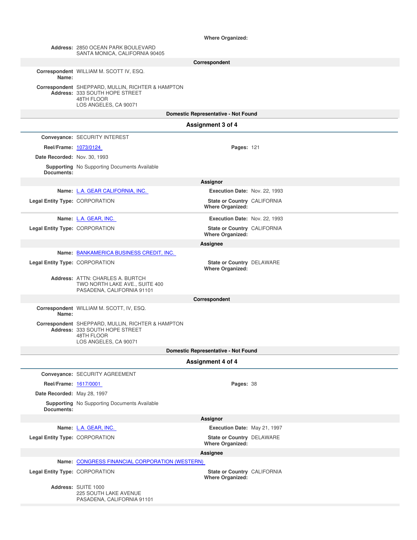#### **Where Organized:**

|                                | Address: 2850 OCEAN PARK BOULEVARD<br>SANTA MONICA, CALIFORNIA 90405                                                       |                                                        |  |
|--------------------------------|----------------------------------------------------------------------------------------------------------------------------|--------------------------------------------------------|--|
|                                | Correspondent                                                                                                              |                                                        |  |
| Name:                          | Correspondent WILLIAM M. SCOTT IV, ESQ.                                                                                    |                                                        |  |
|                                | Correspondent SHEPPARD, MULLIN, RICHTER & HAMPTON<br>Address: 333 SOUTH HOPE STREET<br>48TH FLOOR<br>LOS ANGELES, CA 90071 |                                                        |  |
|                                |                                                                                                                            | Domestic Representative - Not Found                    |  |
|                                |                                                                                                                            | Assignment 3 of 4                                      |  |
|                                | Conveyance: SECURITY INTEREST                                                                                              |                                                        |  |
| Reel/Frame: 1073/0124          |                                                                                                                            | <b>Pages: 121</b>                                      |  |
| Date Recorded: Nov. 30, 1993   |                                                                                                                            |                                                        |  |
| Documents:                     | <b>Supporting</b> No Supporting Documents Available                                                                        |                                                        |  |
|                                |                                                                                                                            | Assignor                                               |  |
|                                | Name: L.A. GEAR CALIFORNIA, INC.                                                                                           | Execution Date: Nov. 22, 1993                          |  |
| Legal Entity Type: CORPORATION |                                                                                                                            | State or Country CALIFORNIA<br><b>Where Organized:</b> |  |
|                                | Name: L.A. GEAR, INC.                                                                                                      | Execution Date: Nov. 22, 1993                          |  |
| Legal Entity Type: CORPORATION |                                                                                                                            | State or Country CALIFORNIA                            |  |
|                                |                                                                                                                            | <b>Where Organized:</b><br>Assignee                    |  |
|                                | Name: BANKAMERICA BUSINESS CREDIT, INC.                                                                                    |                                                        |  |
| Legal Entity Type: CORPORATION |                                                                                                                            | State or Country DELAWARE                              |  |
|                                |                                                                                                                            | <b>Where Organized:</b>                                |  |
|                                | Address: ATTN: CHARLES A. BURTCH<br>TWO NORTH LAKE AVE., SUITE 400<br>PASADENA, CALIFORNIA 91101                           |                                                        |  |
|                                |                                                                                                                            | Correspondent                                          |  |
| Name:                          | Correspondent WILLIAM M. SCOTT, IV, ESQ.                                                                                   |                                                        |  |
|                                | Correspondent SHEPPARD, MULLIN, RICHTER & HAMPTON<br>Address: 333 SOUTH HOPE STREET<br>48TH FLOOR<br>LOS ANGELES, CA 90071 |                                                        |  |
|                                |                                                                                                                            | Domestic Representative - Not Found                    |  |
|                                |                                                                                                                            | <b>Assignment 4 of 4</b>                               |  |
|                                | Conveyance: SECURITY AGREEMENT                                                                                             |                                                        |  |
| Reel/Frame: 1617/0001          |                                                                                                                            | Pages: 38                                              |  |
| Date Recorded: May 28, 1997    |                                                                                                                            |                                                        |  |
| Documents:                     | <b>Supporting</b> No Supporting Documents Available                                                                        |                                                        |  |
|                                |                                                                                                                            | Assignor                                               |  |
|                                | Name: L.A. GEAR, INC.                                                                                                      | Execution Date: May 21, 1997                           |  |
| Legal Entity Type: CORPORATION |                                                                                                                            | State or Country DELAWARE<br><b>Where Organized:</b>   |  |
|                                |                                                                                                                            | Assignee                                               |  |
|                                | Name: CONGRESS FINANCIAL CORPORATION (WESTERN)                                                                             |                                                        |  |
| Legal Entity Type: CORPORATION |                                                                                                                            | State or Country CALIFORNIA<br><b>Where Organized:</b> |  |
|                                | Address: SUITE 1000<br><b>225 SOUTH LAKE AVENUE</b><br>PASADENA, CALIFORNIA 91101                                          |                                                        |  |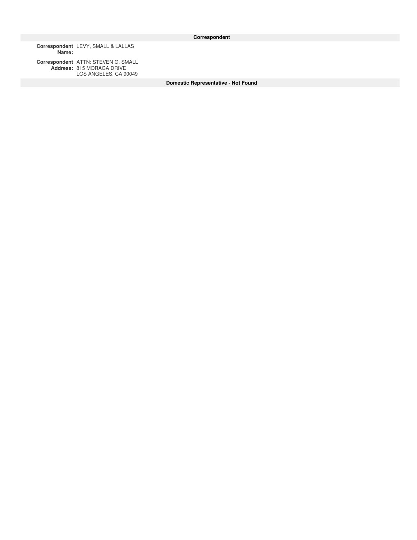**Correspondent Name:** LEVY, SMALL & LALLAS

**Correspondent Address:** ATTN: STEVEN G. SMALL 815 MORAGA DRIVE LOS ANGELES, CA 90049

**Domestic Representative - Not Found**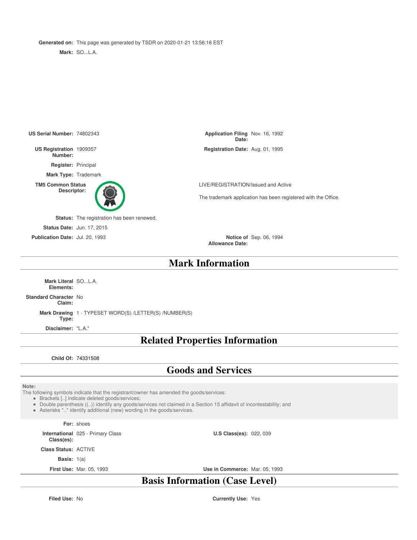**Generated on:** This page was generated by TSDR on 2020-01-21 13:56:16 EST

**Mark:** SO...L.A.



**Mark Information**

**Mark Literal** SO...L.A. **Elements:**

**Standard Character** No **Claim:**

> **Mark Drawing** 1 - TYPESET WORD(S) /LETTER(S) /NUMBER(S) **Type:**

**Disclaimer:** "L.A."

**Related Properties Information**

**Child Of:** 74331508

### **Goods and Services**

#### **Note:**

The following symbols indicate that the registrant/owner has amended the goods/services:

Brackets [..] indicate deleted goods/services;

Double parenthesis ((..)) identify any goods/services not claimed in a Section 15 affidavit of incontestability; and

Asterisks \*..\* identify additional (new) wording in the goods/services.

**For:** shoes

**International** 025 - Primary Class **Class(es):**

**Class Status:** ACTIVE

**Basis:** 1(a)

**First Use:** Mar. 05, 1993 **Use in Commerce:** Mar. 05, 1993

**U.S Class(es): 022, 039** 

### **Basis Information (Case Level)**

**Filed Use:** No **Currently Use:** Yes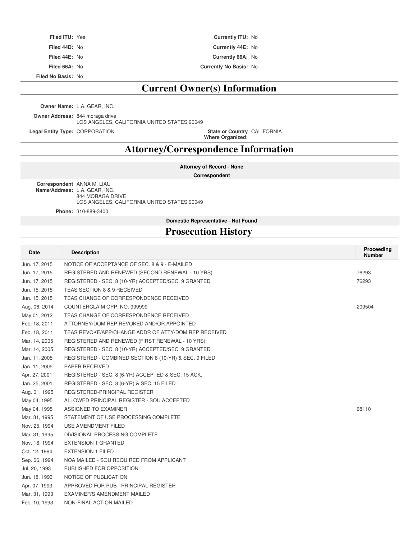| <b>Filed ITU: Yes</b> | <b>Currently ITU: No</b>      |
|-----------------------|-------------------------------|
| Filed 44D: No         | Currently 44E: No             |
| Filed 44E: No         | <b>Currently 66A: No</b>      |
| Filed 66A: No         | <b>Currently No Basis: No</b> |

**Filed No Basis:** No

### **Current Owner(s) Information**

**Owner Name:** L.A. GEAR, INC.

**Owner Address:** 844 moraga drive LOS ANGELES, CALIFORNIA UNITED STATES 90049

**Legal Entity Type: CORPORATION** 

**Where Organized:** State or Country CALIFORNIA

### **Attorney/Correspondence Information**

**Attorney of Record - None**

**Correspondent**

**Correspondent** ANNA M. LIAU **Name/Address:** L.A. GEAR, INC. 844 MORAGA DRIVE LOS ANGELES, CALIFORNIA UNITED STATES 90049

**Phone:** 310-889-3400

**Domestic Representative - Not Found**

### **Prosecution History**

| Date          | <b>Description</b>                                     | Proceeding<br><b>Number</b> |
|---------------|--------------------------------------------------------|-----------------------------|
| Jun. 17, 2015 | NOTICE OF ACCEPTANCE OF SEC. 8 & 9 - E-MAILED          |                             |
| Jun. 17, 2015 | REGISTERED AND RENEWED (SECOND RENEWAL - 10 YRS)       | 76293                       |
| Jun. 17, 2015 | REGISTERED - SEC. 8 (10-YR) ACCEPTED/SEC. 9 GRANTED    | 76293                       |
| Jun. 15, 2015 | TEAS SECTION 8 & 9 RECEIVED                            |                             |
| Jun. 15, 2015 | TEAS CHANGE OF CORRESPONDENCE RECEIVED                 |                             |
| Aug. 06, 2014 | COUNTERCLAIM OPP. NO. 999999                           | 209504                      |
| May 01, 2012  | TEAS CHANGE OF CORRESPONDENCE RECEIVED                 |                             |
| Feb. 18, 2011 | ATTORNEY/DOM.REP.REVOKED AND/OR APPOINTED              |                             |
| Feb. 18, 2011 | TEAS REVOKE/APP/CHANGE ADDR OF ATTY/DOM REP RECEIVED   |                             |
| Mar. 14, 2005 | REGISTERED AND RENEWED (FIRST RENEWAL - 10 YRS)        |                             |
| Mar. 14, 2005 | REGISTERED - SEC. 8 (10-YR) ACCEPTED/SEC. 9 GRANTED    |                             |
| Jan. 11, 2005 | REGISTERED - COMBINED SECTION 8 (10-YR) & SEC. 9 FILED |                             |
| Jan. 11, 2005 | <b>PAPER RECEIVED</b>                                  |                             |
| Apr. 27, 2001 | REGISTERED - SEC. 8 (6-YR) ACCEPTED & SEC. 15 ACK.     |                             |
| Jan. 25, 2001 | REGISTERED - SEC. 8 (6-YR) & SEC. 15 FILED             |                             |
| Aug. 01, 1995 | REGISTERED-PRINCIPAL REGISTER                          |                             |
| May 04, 1995  | ALLOWED PRINCIPAL REGISTER - SOU ACCEPTED              |                             |
| May 04, 1995  | ASSIGNED TO EXAMINER                                   | 68110                       |
| Mar. 31, 1995 | STATEMENT OF USE PROCESSING COMPLETE                   |                             |
| Nov. 25, 1994 | USE AMENDMENT FILED                                    |                             |
| Mar. 31, 1995 | DIVISIONAL PROCESSING COMPLETE                         |                             |
| Nov. 18, 1994 | <b>EXTENSION 1 GRANTED</b>                             |                             |
| Oct. 12, 1994 | <b>EXTENSION 1 FILED</b>                               |                             |
| Sep. 06, 1994 | NOA MAILED - SOU REQUIRED FROM APPLICANT               |                             |
| Jul. 20, 1993 | PUBLISHED FOR OPPOSITION                               |                             |
| Jun. 18, 1993 | NOTICE OF PUBLICATION                                  |                             |
| Apr. 07, 1993 | APPROVED FOR PUB - PRINCIPAL REGISTER                  |                             |
| Mar. 31, 1993 | EXAMINER'S AMENDMENT MAILED                            |                             |
| Feb. 10, 1993 | NON-FINAL ACTION MAILED                                |                             |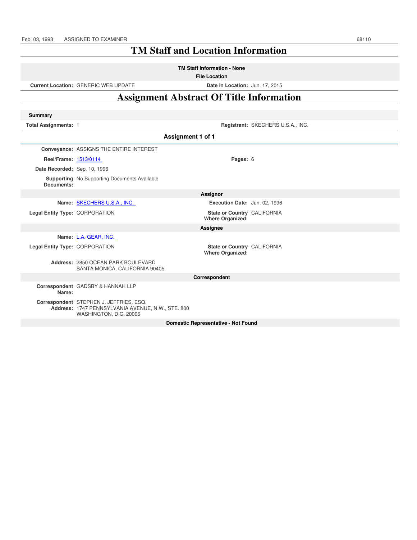### **TM Staff and Location Information**

**TM Staff Information - None**

**File Location**

**Current Location:** GENERIC WEB UPDATE **Date in Location:** Jun. 17, 2015

### **Assignment Abstract Of Title Information**

| <b>Summary</b>                 |                                                                                                                        |                                                        |                                   |  |
|--------------------------------|------------------------------------------------------------------------------------------------------------------------|--------------------------------------------------------|-----------------------------------|--|
| <b>Total Assignments: 1</b>    |                                                                                                                        |                                                        | Registrant: SKECHERS U.S.A., INC. |  |
|                                | Assignment 1 of 1                                                                                                      |                                                        |                                   |  |
|                                | Conveyance: ASSIGNS THE ENTIRE INTEREST                                                                                |                                                        |                                   |  |
| Reel/Frame: 1513/0114          |                                                                                                                        | Pages: 6                                               |                                   |  |
| Date Recorded: Sep. 10, 1996   |                                                                                                                        |                                                        |                                   |  |
| Documents:                     | <b>Supporting</b> No Supporting Documents Available                                                                    |                                                        |                                   |  |
|                                | Assignor                                                                                                               |                                                        |                                   |  |
|                                | Name: SKECHERS U.S.A., INC.                                                                                            | Execution Date: Jun. 02, 1996                          |                                   |  |
| Legal Entity Type: CORPORATION |                                                                                                                        | State or Country CALIFORNIA<br><b>Where Organized:</b> |                                   |  |
|                                |                                                                                                                        | Assignee                                               |                                   |  |
|                                | Name: L.A. GEAR, INC.                                                                                                  |                                                        |                                   |  |
| Legal Entity Type: CORPORATION |                                                                                                                        | State or Country CALIFORNIA<br><b>Where Organized:</b> |                                   |  |
|                                | Address: 2850 OCEAN PARK BOULEVARD<br>SANTA MONICA, CALIFORNIA 90405                                                   |                                                        |                                   |  |
|                                |                                                                                                                        | Correspondent                                          |                                   |  |
| Name:                          | Correspondent GADSBY & HANNAH LLP                                                                                      |                                                        |                                   |  |
|                                | Correspondent STEPHEN J. JEFFRIES, ESQ.<br>Address: 1747 PENNSYLVANIA AVENUE, N.W., STE. 800<br>WASHINGTON, D.C. 20006 |                                                        |                                   |  |
|                                |                                                                                                                        | <b>Domestic Representative - Not Found</b>             |                                   |  |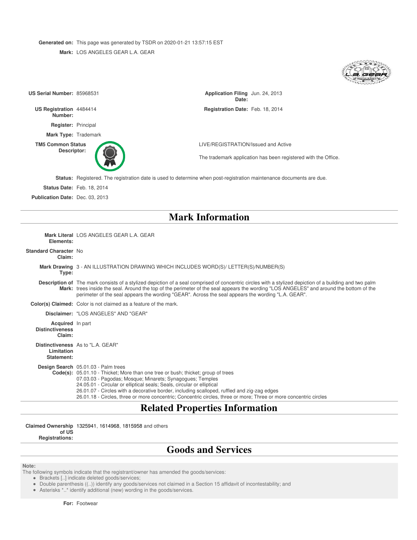**Generated on:** This page was generated by TSDR on 2020-01-21 13:57:15 EST **Mark:** LOS ANGELES GEAR L.A. GEAR

| US Serial Number: 85968531                                  |                                                                                                                                                                                                                                                                                                                                                                                                                                                                                    | Application Filing Jun. 24, 2013<br>Date: |                                                                |
|-------------------------------------------------------------|------------------------------------------------------------------------------------------------------------------------------------------------------------------------------------------------------------------------------------------------------------------------------------------------------------------------------------------------------------------------------------------------------------------------------------------------------------------------------------|-------------------------------------------|----------------------------------------------------------------|
| US Registration 4484414<br>Number:                          |                                                                                                                                                                                                                                                                                                                                                                                                                                                                                    | Registration Date: Feb. 18, 2014          |                                                                |
| Register: Principal                                         |                                                                                                                                                                                                                                                                                                                                                                                                                                                                                    |                                           |                                                                |
|                                                             | Mark Type: Trademark                                                                                                                                                                                                                                                                                                                                                                                                                                                               |                                           |                                                                |
| <b>TM5 Common Status</b><br>Descriptor:                     |                                                                                                                                                                                                                                                                                                                                                                                                                                                                                    | LIVE/REGISTRATION/Issued and Active       |                                                                |
|                                                             |                                                                                                                                                                                                                                                                                                                                                                                                                                                                                    |                                           | The trademark application has been registered with the Office. |
|                                                             | <b>Status:</b> Registered. The registration date is used to determine when post-registration maintenance documents are due.                                                                                                                                                                                                                                                                                                                                                        |                                           |                                                                |
|                                                             | <b>Status Date: Feb. 18, 2014</b>                                                                                                                                                                                                                                                                                                                                                                                                                                                  |                                           |                                                                |
| Publication Date: Dec. 03, 2013                             |                                                                                                                                                                                                                                                                                                                                                                                                                                                                                    |                                           |                                                                |
|                                                             |                                                                                                                                                                                                                                                                                                                                                                                                                                                                                    |                                           |                                                                |
|                                                             |                                                                                                                                                                                                                                                                                                                                                                                                                                                                                    | <b>Mark Information</b>                   |                                                                |
| Elements:                                                   | Mark Literal LOS ANGELES GEAR L.A. GEAR                                                                                                                                                                                                                                                                                                                                                                                                                                            |                                           |                                                                |
| <b>Standard Character No</b><br>Claim:                      |                                                                                                                                                                                                                                                                                                                                                                                                                                                                                    |                                           |                                                                |
| Type:                                                       | Mark Drawing 3 - AN ILLUSTRATION DRAWING WHICH INCLUDES WORD(S)/ LETTER(S)/NUMBER(S)                                                                                                                                                                                                                                                                                                                                                                                               |                                           |                                                                |
|                                                             | Description of The mark consists of a stylized depiction of a seal comprised of concentric circles with a stylized depiction of a building and two palm<br>Mark: trees inside the seal. Around the top of the perimeter of the seal appears the wording "LOS ANGELES" and around the bottom of the<br>perimeter of the seal appears the wording "GEAR". Across the seal appears the wording "L.A. GEAR".                                                                           |                                           |                                                                |
|                                                             | <b>Color(s) Claimed:</b> Color is not claimed as a feature of the mark.                                                                                                                                                                                                                                                                                                                                                                                                            |                                           |                                                                |
|                                                             | Disclaimer: "LOS ANGELES" AND "GEAR"                                                                                                                                                                                                                                                                                                                                                                                                                                               |                                           |                                                                |
| <b>Acquired</b> In part<br><b>Distinctiveness</b><br>Claim: |                                                                                                                                                                                                                                                                                                                                                                                                                                                                                    |                                           |                                                                |
| Limitation<br>Statement:                                    | Distinctiveness As to "L.A. GEAR"                                                                                                                                                                                                                                                                                                                                                                                                                                                  |                                           |                                                                |
|                                                             | Design Search 05.01.03 - Palm trees<br>Code(s): 05.01.10 - Thicket; More than one tree or bush; thicket; group of trees<br>07.03.03 - Pagodas; Mosque; Minarets; Synagogues; Temples<br>24.05.01 - Circular or elliptical seals; Seals, circular or elliptical<br>26.01.07 - Circles with a decorative border, including scalloped, ruffled and zig-zag edges<br>26.01.18 - Circles, three or more concentric; Concentric circles, three or more; Three or more concentric circles |                                           |                                                                |
|                                                             | ni in In                                                                                                                                                                                                                                                                                                                                                                                                                                                                           | $\mathbf{A}$ . The state $\mathbf{A}$     |                                                                |

### **Related Properties Information**

**Claimed Ownership** 1325941, 1614968, 1815958 and others

**of US Registrations:**

### **Goods and Services**

#### **Note:**

The following symbols indicate that the registrant/owner has amended the goods/services:

Brackets [..] indicate deleted goods/services;

Double parenthesis ((..)) identify any goods/services not claimed in a Section 15 affidavit of incontestability; and

Asterisks \*..\* identify additional (new) wording in the goods/services.